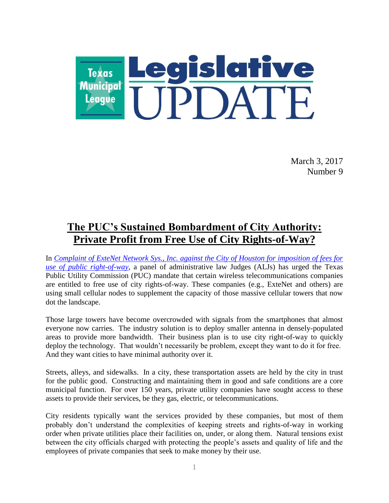

March 3, 2017 Number 9

# **The PUC's Sustained Bombardment of City Authority: Private Profit from Free Use of City Rights-of-Way?**

In *Complaint of ExteNet [Network Sys., Inc. against the City of Houston for imposition of fees for](http://interchange.puc.texas.gov/WebApp/Interchange/application/dbapps/filings/pgControl.asp?TXT_UTILITY_TYPE=A&TXT_CNTRL_NO=45280&TXT_ITEM_MATCH=1&TXT_ITEM_NO=&TXT_N_UTILITY=&TXT_N_FILE_PARTY=&TXT_DOC_TYPE=ALL&TXT_D_FROM=&TXT_D_TO=&TXT_NEW=true)  use of public right-of-way*, a panel of administrative law Judges (ALJs) has urged the Texas Public Utility Commission (PUC) mandate that certain wireless telecommunications companies are entitled to free use of city rights-of-way. These companies (e.g., ExteNet and others) are using small cellular nodes to supplement the capacity of those massive cellular towers that now dot the landscape.

Those large towers have become overcrowded with signals from the smartphones that almost everyone now carries. The industry solution is to deploy smaller antenna in densely-populated areas to provide more bandwidth. Their business plan is to use city right-of-way to quickly deploy the technology. That wouldn't necessarily be problem, except they want to do it for free. And they want cities to have minimal authority over it.

Streets, alleys, and sidewalks. In a city, these transportation assets are held by the city in trust for the public good. Constructing and maintaining them in good and safe conditions are a core municipal function. For over 150 years, private utility companies have sought access to these assets to provide their services, be they gas, electric, or telecommunications.

City residents typically want the services provided by these companies, but most of them probably don't understand the complexities of keeping streets and rights-of-way in working order when private utilities place their facilities on, under, or along them. Natural tensions exist between the city officials charged with protecting the people's assets and quality of life and the employees of private companies that seek to make money by their use.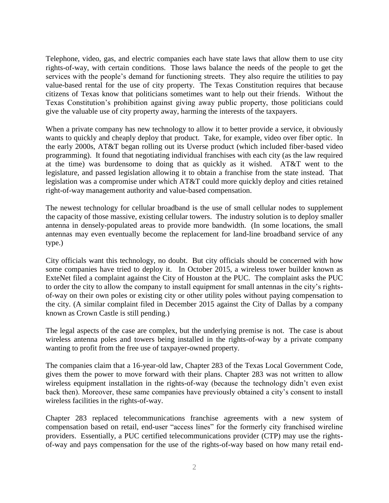Telephone, video, gas, and electric companies each have state laws that allow them to use city rights-of-way, with certain conditions. Those laws balance the needs of the people to get the services with the people's demand for functioning streets. They also require the utilities to pay value-based rental for the use of city property. The Texas Constitution requires that because citizens of Texas know that politicians sometimes want to help out their friends. Without the Texas Constitution's prohibition against giving away public property, those politicians could give the valuable use of city property away, harming the interests of the taxpayers.

When a private company has new technology to allow it to better provide a service, it obviously wants to quickly and cheaply deploy that product. Take, for example, video over fiber optic. In the early 2000s, AT&T began rolling out its Uverse product (which included fiber-based video programming). It found that negotiating individual franchises with each city (as the law required at the time) was burdensome to doing that as quickly as it wished. AT&T went to the legislature, and passed legislation allowing it to obtain a franchise from the state instead. That legislation was a compromise under which AT&T could more quickly deploy and cities retained right-of-way management authority and value-based compensation.

The newest technology for cellular broadband is the use of small cellular nodes to supplement the capacity of those massive, existing cellular towers. The industry solution is to deploy smaller antenna in densely-populated areas to provide more bandwidth. (In some locations, the small antennas may even eventually become the replacement for land-line broadband service of any type.)

City officials want this technology, no doubt. But city officials should be concerned with how some companies have tried to deploy it. In October 2015, a wireless tower builder known as ExteNet filed a complaint against the City of Houston at the PUC. The complaint asks the PUC to order the city to allow the company to install equipment for small antennas in the city's rightsof-way on their own poles or existing city or other utility poles without paying compensation to the city. (A similar complaint filed in December 2015 against the City of Dallas by a company known as Crown Castle is still pending.)

The legal aspects of the case are complex, but the underlying premise is not. The case is about wireless antenna poles and towers being installed in the rights-of-way by a private company wanting to profit from the free use of taxpayer-owned property.

The companies claim that a 16-year-old law, Chapter 283 of the Texas Local Government Code, gives them the power to move forward with their plans. Chapter 283 was not written to allow wireless equipment installation in the rights-of-way (because the technology didn't even exist back then). Moreover, these same companies have previously obtained a city's consent to install wireless facilities in the rights-of-way.

Chapter 283 replaced telecommunications franchise agreements with a new system of compensation based on retail, end-user "access lines" for the formerly city franchised wireline providers. Essentially, a PUC certified telecommunications provider (CTP) may use the rightsof-way and pays compensation for the use of the rights-of-way based on how many retail end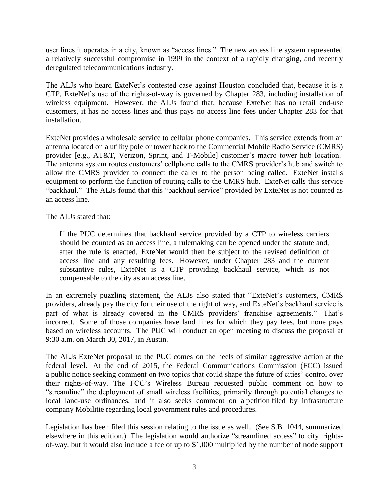user lines it operates in a city, known as "access lines." The new access line system represented a relatively successful compromise in 1999 in the context of a rapidly changing, and recently deregulated telecommunications industry.

The ALJs who heard ExteNet's contested case against Houston concluded that, because it is a CTP, ExteNet's use of the rights-of-way is governed by Chapter 283, including installation of wireless equipment. However, the ALJs found that, because ExteNet has no retail end-use customers, it has no access lines and thus pays no access line fees under Chapter 283 for that installation.

ExteNet provides a wholesale service to cellular phone companies. This service extends from an antenna located on a utility pole or tower back to the Commercial Mobile Radio Service (CMRS) provider [e.g., AT&T, Verizon, Sprint, and T-Mobile] customer's macro tower hub location. The antenna system routes customers' cellphone calls to the CMRS provider's hub and switch to allow the CMRS provider to connect the caller to the person being called. ExteNet installs equipment to perform the function of routing calls to the CMRS hub. ExteNet calls this service "backhaul." The ALJs found that this "backhaul service" provided by ExteNet is not counted as an access line.

The ALJs stated that:

If the PUC determines that backhaul service provided by a CTP to wireless carriers should be counted as an access line, a rulemaking can be opened under the statute and, after the rule is enacted, ExteNet would then be subject to the revised definition of access line and any resulting fees. However, under Chapter 283 and the current substantive rules, ExteNet is a CTP providing backhaul service, which is not compensable to the city as an access line.

In an extremely puzzling statement, the ALJs also stated that "ExteNet's customers, CMRS providers, already pay the city for their use of the right of way, and ExteNet's backhaul service is part of what is already covered in the CMRS providers' franchise agreements." That's incorrect. Some of those companies have land lines for which they pay fees, but none pays based on wireless accounts. The PUC will conduct an open meeting to discuss the proposal at 9:30 a.m. on March 30, 2017, in Austin.

The ALJs ExteNet proposal to the PUC comes on the heels of similar aggressive action at the federal level. At the end of 2015, the Federal Communications Commission (FCC) issued a public notice seeking comment on two topics that could shape the future of cities' control over their rights-of-way. The FCC's Wireless Bureau requested public comment on how to "streamline" the deployment of small wireless facilities, primarily through potential changes to local land-use ordinances, and it also seeks comment on a petition filed by infrastructure company Mobilitie regarding local government rules and procedures.

Legislation has been filed this session relating to the issue as well. (See S.B. 1044, summarized elsewhere in this edition.) The legislation would authorize "streamlined access" to city rightsof-way, but it would also include a fee of up to \$1,000 multiplied by the number of node support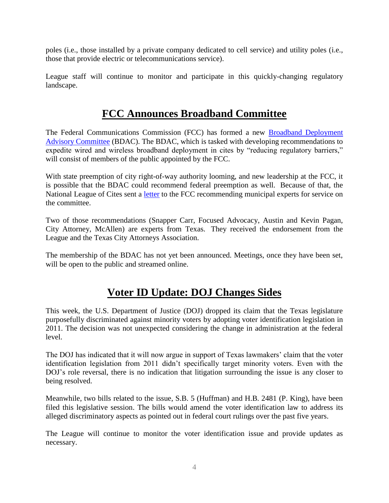poles (i.e., those installed by a private company dedicated to cell service) and utility poles (i.e., those that provide electric or telecommunications service).

League staff will continue to monitor and participate in this quickly-changing regulatory landscape.

# **FCC Announces Broadband Committee**

The Federal Communications Commission (FCC) has formed a new [Broadband Deployment](http://echo4.bluehornet.com/ct/92232071:7mMWCubNP:m:1:2011903828:FBDDFA34405EA5FA1A4C7CDD4C58FF4E:r)  [Advisory Committee](http://echo4.bluehornet.com/ct/92232071:7mMWCubNP:m:1:2011903828:FBDDFA34405EA5FA1A4C7CDD4C58FF4E:r) (BDAC). The BDAC, which is tasked with developing recommendations to expedite wired and wireless broadband deployment in cites by "reducing regulatory barriers," will consist of members of the public appointed by the FCC.

With state preemption of city right-of-way authority looming, and new leadership at the FCC, it is possible that the BDAC could recommend federal preemption as well. Because of that, the National League of Cites sent a [letter](http://echo4.bluehornet.com/ct/92232070:7mMWCubNP:m:1:2011903828:FBDDFA34405EA5FA1A4C7CDD4C58FF4E:r) to the FCC recommending municipal experts for service on the committee.

Two of those recommendations (Snapper Carr, Focused Advocacy, Austin and Kevin Pagan, City Attorney, McAllen) are experts from Texas. They received the endorsement from the League and the Texas City Attorneys Association.

The membership of the BDAC has not yet been announced. Meetings, once they have been set, will be open to the public and streamed online.

# **Voter ID Update: DOJ Changes Sides**

This week, the U.S. Department of Justice (DOJ) dropped its claim that the Texas legislature purposefully discriminated against minority voters by adopting voter identification legislation in 2011. The decision was not unexpected considering the change in administration at the federal level.

The DOJ has indicated that it will now argue in support of Texas lawmakers' claim that the voter identification legislation from 2011 didn't specifically target minority voters. Even with the DOJ's role reversal, there is no indication that litigation surrounding the issue is any closer to being resolved.

Meanwhile, two bills related to the issue, S.B. 5 (Huffman) and H.B. 2481 (P. King), have been filed this legislative session. The bills would amend the voter identification law to address its alleged discriminatory aspects as pointed out in federal court rulings over the past five years.

The League will continue to monitor the voter identification issue and provide updates as necessary.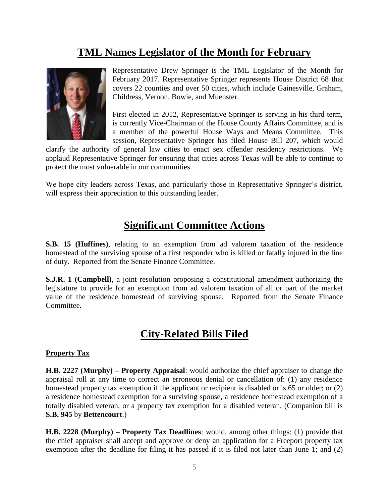## **TML Names Legislator of the Month for February**



Representative Drew Springer is the TML Legislator of the Month for February 2017. Representative Springer represents House District 68 that covers 22 counties and over 50 cities, which include Gainesville, Graham, Childress, Vernon, Bowie, and Muenster.

First elected in 2012, Representative Springer is serving in his third term, is currently Vice-Chairman of the House County Affairs Committee, and is a member of the powerful House Ways and Means Committee. This session, Representative Springer has filed House Bill 207, which would

clarify the authority of general law cities to enact sex offender residency restrictions. We applaud Representative Springer for ensuring that cities across Texas will be able to continue to protect the most vulnerable in our communities.

We hope city leaders across Texas, and particularly those in Representative Springer's district, will express their appreciation to this outstanding leader.

## **Significant Committee Actions**

**S.B. 15 (Huffines)**, relating to an exemption from ad valorem taxation of the residence homestead of the surviving spouse of a first responder who is killed or fatally injured in the line of duty. Reported from the Senate Finance Committee.

**S.J.R. 1 (Campbell)**, a joint resolution proposing a constitutional amendment authorizing the legislature to provide for an exemption from ad valorem taxation of all or part of the market value of the residence homestead of surviving spouse. Reported from the Senate Finance Committee.

## **City-Related Bills Filed**

#### **Property Tax**

**H.B. 2227 (Murphy) – Property Appraisal**: would authorize the chief appraiser to change the appraisal roll at any time to correct an erroneous denial or cancellation of: (1) any residence homestead property tax exemption if the applicant or recipient is disabled or is 65 or older; or (2) a residence homestead exemption for a surviving spouse, a residence homestead exemption of a totally disabled veteran, or a property tax exemption for a disabled veteran. (Companion bill is **S.B. 945** by **Bettencourt**.)

**H.B. 2228 (Murphy) – Property Tax Deadlines**: would, among other things: (1) provide that the chief appraiser shall accept and approve or deny an application for a Freeport property tax exemption after the deadline for filing it has passed if it is filed not later than June 1; and (2)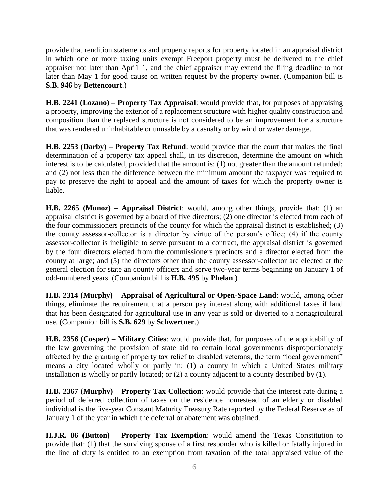provide that rendition statements and property reports for property located in an appraisal district in which one or more taxing units exempt Freeport property must be delivered to the chief appraiser not later than Apri1 1, and the chief appraiser may extend the filing deadline to not later than May 1 for good cause on written request by the property owner. (Companion bill is **S.B. 946** by **Bettencourt**.)

**H.B. 2241 (Lozano) – Property Tax Appraisal**: would provide that, for purposes of appraising a property, improving the exterior of a replacement structure with higher quality construction and composition than the replaced structure is not considered to be an improvement for a structure that was rendered uninhabitable or unusable by a casualty or by wind or water damage.

**H.B. 2253 (Darby) – Property Tax Refund**: would provide that the court that makes the final determination of a property tax appeal shall, in its discretion, determine the amount on which interest is to be calculated, provided that the amount is: (1) not greater than the amount refunded; and (2) not less than the difference between the minimum amount the taxpayer was required to pay to preserve the right to appeal and the amount of taxes for which the property owner is liable.

**H.B. 2265 (Munoz) – Appraisal District**: would, among other things, provide that: (1) an appraisal district is governed by a board of five directors; (2) one director is elected from each of the four commissioners precincts of the county for which the appraisal district is established; (3) the county assessor-collector is a director by virtue of the person's office; (4) if the county assessor-collector is ineligible to serve pursuant to a contract, the appraisal district is governed by the four directors elected from the commissioners precincts and a director elected from the county at large; and (5) the directors other than the county assessor-collector are elected at the general election for state an county officers and serve two-year terms beginning on January 1 of odd-numbered years. (Companion bill is **H.B. 495** by **Phelan**.)

**H.B. 2314 (Murphy) – Appraisal of Agricultural or Open-Space Land**: would, among other things, eliminate the requirement that a person pay interest along with additional taxes if land that has been designated for agricultural use in any year is sold or diverted to a nonagricultural use. (Companion bill is **S.B. 629** by **Schwertner**.)

**H.B. 2356 (Cosper) – Military Cities**: would provide that, for purposes of the applicability of the law governing the provision of state aid to certain local governments disproportionately affected by the granting of property tax relief to disabled veterans, the term "local government" means a city located wholly or partly in: (1) a county in which a United States military installation is wholly or partly located; or (2) a county adjacent to a county described by (1).

**H.B. 2367 (Murphy) – Property Tax Collection**: would provide that the interest rate during a period of deferred collection of taxes on the residence homestead of an elderly or disabled individual is the five-year Constant Maturity Treasury Rate reported by the Federal Reserve as of January 1 of the year in which the deferral or abatement was obtained.

**H.J.R. 86 (Button) – Property Tax Exemption**: would amend the Texas Constitution to provide that: (1) that the surviving spouse of a first responder who is killed or fatally injured in the line of duty is entitled to an exemption from taxation of the total appraised value of the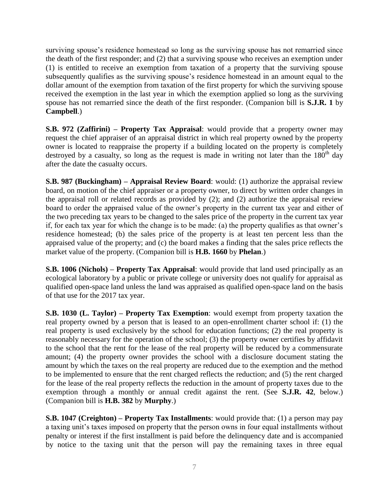surviving spouse's residence homestead so long as the surviving spouse has not remarried since the death of the first responder; and (2) that a surviving spouse who receives an exemption under (1) is entitled to receive an exemption from taxation of a property that the surviving spouse subsequently qualifies as the surviving spouse's residence homestead in an amount equal to the dollar amount of the exemption from taxation of the first property for which the surviving spouse received the exemption in the last year in which the exemption applied so long as the surviving spouse has not remarried since the death of the first responder. (Companion bill is **S.J.R. 1** by **Campbell**.)

**S.B. 972 (Zaffirini) – Property Tax Appraisal**: would provide that a property owner may request the chief appraiser of an appraisal district in which real property owned by the property owner is located to reappraise the property if a building located on the property is completely destroyed by a casualty, so long as the request is made in writing not later than the  $180<sup>th</sup>$  day after the date the casualty occurs.

**S.B. 987 (Buckingham) – Appraisal Review Board**: would: (1) authorize the appraisal review board, on motion of the chief appraiser or a property owner, to direct by written order changes in the appraisal roll or related records as provided by (2); and (2) authorize the appraisal review board to order the appraised value of the owner's property in the current tax year and either of the two preceding tax years to be changed to the sales price of the property in the current tax year if, for each tax year for which the change is to be made: (a) the property qualifies as that owner's residence homestead; (b) the sales price of the property is at least ten percent less than the appraised value of the property; and (c) the board makes a finding that the sales price reflects the market value of the property. (Companion bill is **H.B. 1660** by **Phelan**.)

**S.B. 1006 (Nichols) – Property Tax Appraisal**: would provide that land used principally as an ecological laboratory by a public or private college or university does not qualify for appraisal as qualified open-space land unless the land was appraised as qualified open-space land on the basis of that use for the 2017 tax year.

**S.B. 1030 (L. Taylor) – Property Tax Exemption**: would exempt from property taxation the real property owned by a person that is leased to an open-enrollment charter school if: (1) the real property is used exclusively by the school for education functions; (2) the real property is reasonably necessary for the operation of the school; (3) the property owner certifies by affidavit to the school that the rent for the lease of the real property will be reduced by a commensurate amount; (4) the property owner provides the school with a disclosure document stating the amount by which the taxes on the real property are reduced due to the exemption and the method to be implemented to ensure that the rent charged reflects the reduction; and (5) the rent charged for the lease of the real property reflects the reduction in the amount of property taxes due to the exemption through a monthly or annual credit against the rent. (See **S.J.R. 42**, below.) (Companion bill is **H.B. 382** by **Murphy**.)

**S.B. 1047 (Creighton) – Property Tax Installments**: would provide that: (1) a person may pay a taxing unit's taxes imposed on property that the person owns in four equal installments without penalty or interest if the first installment is paid before the delinquency date and is accompanied by notice to the taxing unit that the person will pay the remaining taxes in three equal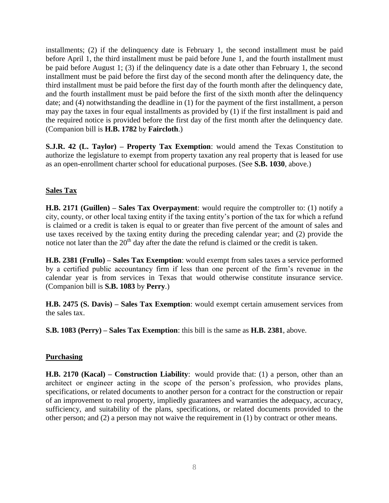installments; (2) if the delinquency date is February 1, the second installment must be paid before April 1, the third installment must be paid before June 1, and the fourth installment must be paid before August 1; (3) if the delinquency date is a date other than February 1, the second installment must be paid before the first day of the second month after the delinquency date, the third installment must be paid before the first day of the fourth month after the delinquency date, and the fourth installment must be paid before the first of the sixth month after the delinquency date; and (4) notwithstanding the deadline in (1) for the payment of the first installment, a person may pay the taxes in four equal installments as provided by (1) if the first installment is paid and the required notice is provided before the first day of the first month after the delinquency date. (Companion bill is **H.B. 1782** by **Faircloth**.)

**S.J.R. 42 (L. Taylor) – Property Tax Exemption**: would amend the Texas Constitution to authorize the legislature to exempt from property taxation any real property that is leased for use as an open-enrollment charter school for educational purposes. (See **S.B. 1030**, above.)

### **Sales Tax**

**H.B. 2171 (Guillen) – Sales Tax Overpayment**: would require the comptroller to: (1) notify a city, county, or other local taxing entity if the taxing entity's portion of the tax for which a refund is claimed or a credit is taken is equal to or greater than five percent of the amount of sales and use taxes received by the taxing entity during the preceding calendar year; and (2) provide the notice not later than the  $20<sup>th</sup>$  day after the date the refund is claimed or the credit is taken.

**H.B. 2381 (Frullo) – Sales Tax Exemption**: would exempt from sales taxes a service performed by a certified public accountancy firm if less than one percent of the firm's revenue in the calendar year is from services in Texas that would otherwise constitute insurance service. (Companion bill is **S.B. 1083** by **Perry**.)

**H.B. 2475 (S. Davis) – Sales Tax Exemption**: would exempt certain amusement services from the sales tax.

**S.B. 1083 (Perry) – Sales Tax Exemption**: this bill is the same as **H.B. 2381**, above.

## **Purchasing**

**H.B. 2170 (Kacal) – Construction Liability**: would provide that: (1) a person, other than an architect or engineer acting in the scope of the person's profession, who provides plans, specifications, or related documents to another person for a contract for the construction or repair of an improvement to real property, impliedly guarantees and warranties the adequacy, accuracy, sufficiency, and suitability of the plans, specifications, or related documents provided to the other person; and (2) a person may not waive the requirement in (1) by contract or other means.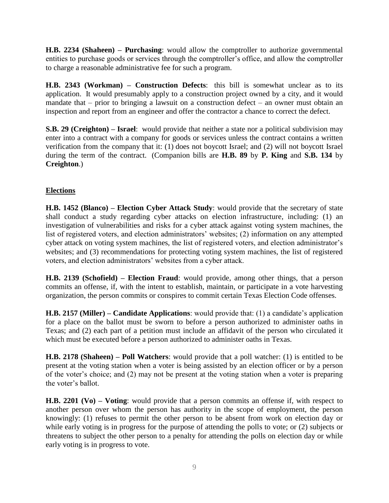**H.B. 2234 (Shaheen) – Purchasing**: would allow the comptroller to authorize governmental entities to purchase goods or services through the comptroller's office, and allow the comptroller to charge a reasonable administrative fee for such a program.

**H.B. 2343 (Workman) – Construction Defects**: this bill is somewhat unclear as to its application. It would presumably apply to a construction project owned by a city, and it would mandate that – prior to bringing a lawsuit on a construction defect – an owner must obtain an inspection and report from an engineer and offer the contractor a chance to correct the defect.

**S.B. 29 (Creighton) – Israel**: would provide that neither a state nor a political subdivision may enter into a contract with a company for goods or services unless the contract contains a written verification from the company that it: (1) does not boycott Israel; and (2) will not boycott Israel during the term of the contract. (Companion bills are **H.B. 89** by **P. King** and **S.B. 134** by **Creighton**.)

## **Elections**

**H.B. 1452 (Blanco) – Election Cyber Attack Study**: would provide that the secretary of state shall conduct a study regarding cyber attacks on election infrastructure, including: (1) an investigation of vulnerabilities and risks for a cyber attack against voting system machines, the list of registered voters, and election administrators' websites; (2) information on any attempted cyber attack on voting system machines, the list of registered voters, and election administrator's websites; and (3) recommendations for protecting voting system machines, the list of registered voters, and election administrators' websites from a cyber attack.

**H.B. 2139 (Schofield) – Election Fraud**: would provide, among other things, that a person commits an offense, if, with the intent to establish, maintain, or participate in a vote harvesting organization, the person commits or conspires to commit certain Texas Election Code offenses.

**H.B. 2157 (Miller) – Candidate Applications**: would provide that: (1) a candidate's application for a place on the ballot must be sworn to before a person authorized to administer oaths in Texas; and (2) each part of a petition must include an affidavit of the person who circulated it which must be executed before a person authorized to administer oaths in Texas.

**H.B. 2178 (Shaheen) – Poll Watchers**: would provide that a poll watcher: (1) is entitled to be present at the voting station when a voter is being assisted by an election officer or by a person of the voter's choice; and (2) may not be present at the voting station when a voter is preparing the voter's ballot.

**H.B. 2201 (Vo) – Voting**: would provide that a person commits an offense if, with respect to another person over whom the person has authority in the scope of employment, the person knowingly: (1) refuses to permit the other person to be absent from work on election day or while early voting is in progress for the purpose of attending the polls to vote; or (2) subjects or threatens to subject the other person to a penalty for attending the polls on election day or while early voting is in progress to vote.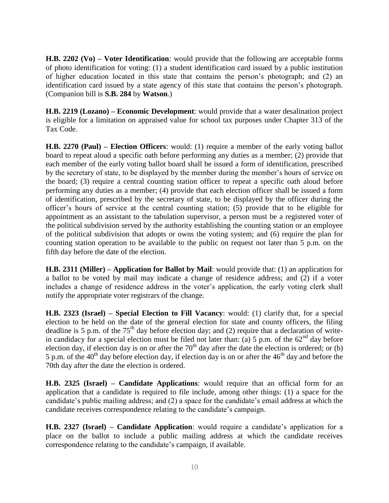**H.B. 2202 (Vo) – Voter Identification**: would provide that the following are acceptable forms of photo identification for voting: (1) a student identification card issued by a public institution of higher education located in this state that contains the person's photograph; and (2) an identification card issued by a state agency of this state that contains the person's photograph. (Companion bill is **S.B. 284** by **Watson**.)

**H.B. 2219 (Lozano) – Economic Development**: would provide that a water desalination project is eligible for a limitation on appraised value for school tax purposes under Chapter 313 of the Tax Code.

**H.B. 2270 (Paul) – Election Officers**: would: (1) require a member of the early voting ballot board to repeat aloud a specific oath before performing any duties as a member; (2) provide that each member of the early voting ballot board shall be issued a form of identification, prescribed by the secretary of state, to be displayed by the member during the member's hours of service on the board; (3) require a central counting station officer to repeat a specific oath aloud before performing any duties as a member; (4) provide that each election officer shall be issued a form of identification, prescribed by the secretary of state, to be displayed by the officer during the officer's hours of service at the central counting station; (5) provide that to be eligible for appointment as an assistant to the tabulation supervisor, a person must be a registered voter of the political subdivision served by the authority establishing the counting station or an employee of the political subdivision that adopts or owns the voting system; and (6) require the plan for counting station operation to be available to the public on request not later than 5 p.m. on the fifth day before the date of the election.

**H.B. 2311 (Miller) – Application for Ballot by Mail**: would provide that: (1) an application for a ballot to be voted by mail may indicate a change of residence address; and (2) if a voter includes a change of residence address in the voter's application, the early voting clerk shall notify the appropriate voter registrars of the change.

**H.B. 2323 (Israel) – Special Election to Fill Vacancy**: would: (1) clarify that, for a special election to be held on the date of the general election for state and county officers, the filing deadline is 5 p.m. of the  $75<sup>th</sup>$  day before election day; and (2) require that a declaration of writein candidacy for a special election must be filed not later than: (a) 5 p.m. of the  $62<sup>nd</sup>$  day before election day, if election day is on or after the  $70<sup>th</sup>$  day after the date the election is ordered; or (b) 5 p.m. of the 40<sup>th</sup> day before election day, if election day is on or after the 46<sup>th</sup> day and before the 70th day after the date the election is ordered.

**H.B. 2325 (Israel) – Candidate Applications**: would require that an official form for an application that a candidate is required to file include, among other things: (1) a space for the candidate's public mailing address; and (2) a space for the candidate's email address at which the candidate receives correspondence relating to the candidate's campaign.

**H.B. 2327 (Israel) – Candidate Application**: would require a candidate's application for a place on the ballot to include a public mailing address at which the candidate receives correspondence relating to the candidate's campaign, if available.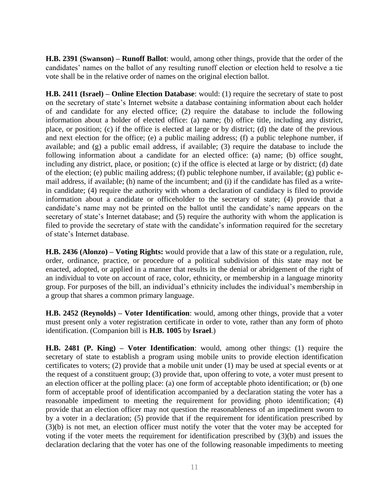**H.B. 2391 (Swanson) – Runoff Ballot**: would, among other things, provide that the order of the candidates' names on the ballot of any resulting runoff election or election held to resolve a tie vote shall be in the relative order of names on the original election ballot.

**H.B. 2411 (Israel) – Online Election Database**: would: (1) require the secretary of state to post on the secretary of state's Internet website a database containing information about each holder of and candidate for any elected office; (2) require the database to include the following information about a holder of elected office: (a) name; (b) office title, including any district, place, or position; (c) if the office is elected at large or by district; (d) the date of the previous and next election for the office; (e) a public mailing address; (f) a public telephone number, if available; and (g) a public email address, if available; (3) require the database to include the following information about a candidate for an elected office: (a) name; (b) office sought, including any district, place, or position; (c) if the office is elected at large or by district; (d) date of the election; (e) public mailing address; (f) public telephone number, if available; (g) public email address, if available; (h) name of the incumbent; and (i) if the candidate has filed as a writein candidate; (4) require the authority with whom a declaration of candidacy is filed to provide information about a candidate or officeholder to the secretary of state; (4) provide that a candidate's name may not be printed on the ballot until the candidate's name appears on the secretary of state's Internet database; and (5) require the authority with whom the application is filed to provide the secretary of state with the candidate's information required for the secretary of state's Internet database.

**H.B. 2436 (Alonzo) – Voting Rights:** would provide that a law of this state or a regulation, rule, order, ordinance, practice, or procedure of a political subdivision of this state may not be enacted, adopted, or applied in a manner that results in the denial or abridgement of the right of an individual to vote on account of race, color, ethnicity, or membership in a language minority group. For purposes of the bill, an individual's ethnicity includes the individual's membership in a group that shares a common primary language.

**H.B. 2452 (Reynolds) – Voter Identification**: would, among other things, provide that a voter must present only a voter registration certificate in order to vote, rather than any form of photo identification. (Companion bill is **H.B. 1005** by **Israel**.)

**H.B. 2481 (P. King) – Voter Identification**: would, among other things: (1) require the secretary of state to establish a program using mobile units to provide election identification certificates to voters; (2) provide that a mobile unit under (1) may be used at special events or at the request of a constituent group; (3) provide that, upon offering to vote, a voter must present to an election officer at the polling place: (a) one form of acceptable photo identification; or (b) one form of acceptable proof of identification accompanied by a declaration stating the voter has a reasonable impediment to meeting the requirement for providing photo identification; (4) provide that an election officer may not question the reasonableness of an impediment sworn to by a voter in a declaration; (5) provide that if the requirement for identification prescribed by (3)(b) is not met, an election officer must notify the voter that the voter may be accepted for voting if the voter meets the requirement for identification prescribed by (3)(b) and issues the declaration declaring that the voter has one of the following reasonable impediments to meeting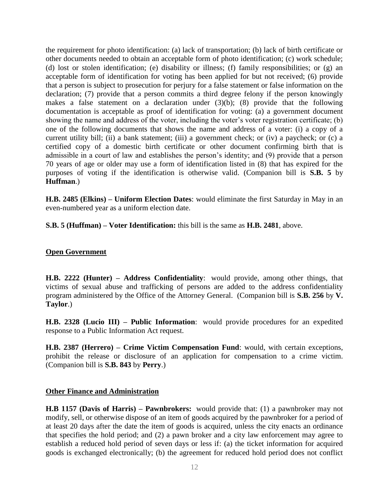the requirement for photo identification: (a) lack of transportation; (b) lack of birth certificate or other documents needed to obtain an acceptable form of photo identification; (c) work schedule; (d) lost or stolen identification; (e) disability or illness; (f) family responsibilities; or (g) an acceptable form of identification for voting has been applied for but not received; (6) provide that a person is subject to prosecution for perjury for a false statement or false information on the declaration; (7) provide that a person commits a third degree felony if the person knowingly makes a false statement on a declaration under  $(3)(b)$ ;  $(8)$  provide that the following documentation is acceptable as proof of identification for voting: (a) a government document showing the name and address of the voter, including the voter's voter registration certificate; (b) one of the following documents that shows the name and address of a voter: (i) a copy of a current utility bill; (ii) a bank statement; (iii) a government check; or (iv) a paycheck; or (c) a certified copy of a domestic birth certificate or other document confirming birth that is admissible in a court of law and establishes the person's identity; and (9) provide that a person 70 years of age or older may use a form of identification listed in (8) that has expired for the purposes of voting if the identification is otherwise valid. (Companion bill is **S.B. 5** by **Huffman**.)

**H.B. 2485 (Elkins) – Uniform Election Dates**: would eliminate the first Saturday in May in an even-numbered year as a uniform election date.

**S.B. 5 (Huffman) – Voter Identification:** this bill is the same as **H.B. 2481**, above.

#### **Open Government**

**H.B. 2222 (Hunter) – Address Confidentiality**: would provide, among other things, that victims of sexual abuse and trafficking of persons are added to the address confidentiality program administered by the Office of the Attorney General. (Companion bill is **S.B. 256** by **V. Taylor**.)

**H.B. 2328 (Lucio III) – Public Information**: would provide procedures for an expedited response to a Public Information Act request.

**H.B. 2387 (Herrero) – Crime Victim Compensation Fund**: would, with certain exceptions, prohibit the release or disclosure of an application for compensation to a crime victim. (Companion bill is **S.B. 843** by **Perry**.)

#### **Other Finance and Administration**

**H.B 1157 (Davis of Harris) – Pawnbrokers:** would provide that: (1) a pawnbroker may not modify, sell, or otherwise dispose of an item of goods acquired by the pawnbroker for a period of at least 20 days after the date the item of goods is acquired, unless the city enacts an ordinance that specifies the hold period; and (2) a pawn broker and a city law enforcement may agree to establish a reduced hold period of seven days or less if: (a) the ticket information for acquired goods is exchanged electronically; (b) the agreement for reduced hold period does not conflict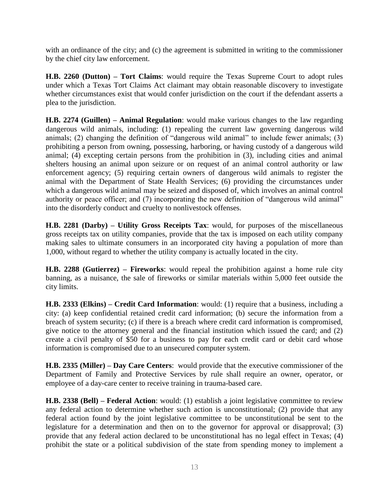with an ordinance of the city; and (c) the agreement is submitted in writing to the commissioner by the chief city law enforcement.

**H.B. 2260 (Dutton) – Tort Claims**: would require the Texas Supreme Court to adopt rules under which a Texas Tort Claims Act claimant may obtain reasonable discovery to investigate whether circumstances exist that would confer jurisdiction on the court if the defendant asserts a plea to the jurisdiction.

**H.B. 2274 (Guillen) – Animal Regulation**: would make various changes to the law regarding dangerous wild animals, including: (1) repealing the current law governing dangerous wild animals; (2) changing the definition of "dangerous wild animal" to include fewer animals; (3) prohibiting a person from owning, possessing, harboring, or having custody of a dangerous wild animal; (4) excepting certain persons from the prohibition in (3), including cities and animal shelters housing an animal upon seizure or on request of an animal control authority or law enforcement agency; (5) requiring certain owners of dangerous wild animals to register the animal with the Department of State Health Services; (6) providing the circumstances under which a dangerous wild animal may be seized and disposed of, which involves an animal control authority or peace officer; and (7) incorporating the new definition of "dangerous wild animal" into the disorderly conduct and cruelty to nonlivestock offenses.

**H.B. 2281 (Darby) – Utility Gross Receipts Tax**: would, for purposes of the miscellaneous gross receipts tax on utility companies, provide that the tax is imposed on each utility company making sales to ultimate consumers in an incorporated city having a population of more than 1,000, without regard to whether the utility company is actually located in the city.

**H.B. 2288 (Gutierrez) – Fireworks**: would repeal the prohibition against a home rule city banning, as a nuisance, the sale of fireworks or similar materials within 5,000 feet outside the city limits.

**H.B. 2333 (Elkins) – Credit Card Information**: would: (1) require that a business, including a city: (a) keep confidential retained credit card information; (b) secure the information from a breach of system security; (c) if there is a breach where credit card information is compromised, give notice to the attorney general and the financial institution which issued the card; and (2) create a civil penalty of \$50 for a business to pay for each credit card or debit card whose information is compromised due to an unsecured computer system.

**H.B. 2335 (Miller) – Day Care Centers**: would provide that the executive commissioner of the Department of Family and Protective Services by rule shall require an owner, operator, or employee of a day-care center to receive training in trauma-based care.

**H.B. 2338 (Bell) – Federal Action**: would: (1) establish a joint legislative committee to review any federal action to determine whether such action is unconstitutional; (2) provide that any federal action found by the joint legislative committee to be unconstitutional be sent to the legislature for a determination and then on to the governor for approval or disapproval; (3) provide that any federal action declared to be unconstitutional has no legal effect in Texas; (4) prohibit the state or a political subdivision of the state from spending money to implement a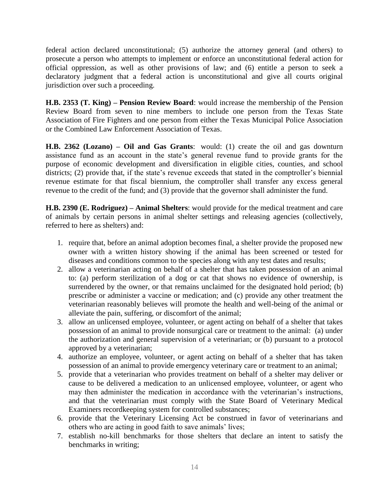federal action declared unconstitutional; (5) authorize the attorney general (and others) to prosecute a person who attempts to implement or enforce an unconstitutional federal action for official oppression, as well as other provisions of law; and (6) entitle a person to seek a declaratory judgment that a federal action is unconstitutional and give all courts original jurisdiction over such a proceeding.

**H.B. 2353 (T. King) – Pension Review Board**: would increase the membership of the Pension Review Board from seven to nine members to include one person from the Texas State Association of Fire Fighters and one person from either the Texas Municipal Police Association or the Combined Law Enforcement Association of Texas.

**H.B. 2362 (Lozano) – Oil and Gas Grants**: would: (1) create the oil and gas downturn assistance fund as an account in the state's general revenue fund to provide grants for the purpose of economic development and diversification in eligible cities, counties, and school districts; (2) provide that, if the state's revenue exceeds that stated in the comptroller's biennial revenue estimate for that fiscal biennium, the comptroller shall transfer any excess general revenue to the credit of the fund; and (3) provide that the governor shall administer the fund.

**H.B. 2390 (E. Rodriguez) – Animal Shelters**: would provide for the medical treatment and care of animals by certain persons in animal shelter settings and releasing agencies (collectively, referred to here as shelters) and:

- 1. require that, before an animal adoption becomes final, a shelter provide the proposed new owner with a written history showing if the animal has been screened or tested for diseases and conditions common to the species along with any test dates and results;
- 2. allow a veterinarian acting on behalf of a shelter that has taken possession of an animal to: (a) perform sterilization of a dog or cat that shows no evidence of ownership, is surrendered by the owner, or that remains unclaimed for the designated hold period; (b) prescribe or administer a vaccine or medication; and (c) provide any other treatment the veterinarian reasonably believes will promote the health and well-being of the animal or alleviate the pain, suffering, or discomfort of the animal;
- 3. allow an unlicensed employee, volunteer, or agent acting on behalf of a shelter that takes possession of an animal to provide nonsurgical care or treatment to the animal: (a) under the authorization and general supervision of a veterinarian; or (b) pursuant to a protocol approved by a veterinarian;
- 4. authorize an employee, volunteer, or agent acting on behalf of a shelter that has taken possession of an animal to provide emergency veterinary care or treatment to an animal;
- 5. provide that a veterinarian who provides treatment on behalf of a shelter may deliver or cause to be delivered a medication to an unlicensed employee, volunteer, or agent who may then administer the medication in accordance with the veterinarian's instructions, and that the veterinarian must comply with the State Board of Veterinary Medical Examiners recordkeeping system for controlled substances;
- 6. provide that the Veterinary Licensing Act be construed in favor of veterinarians and others who are acting in good faith to save animals' lives;
- 7. establish no-kill benchmarks for those shelters that declare an intent to satisfy the benchmarks in writing;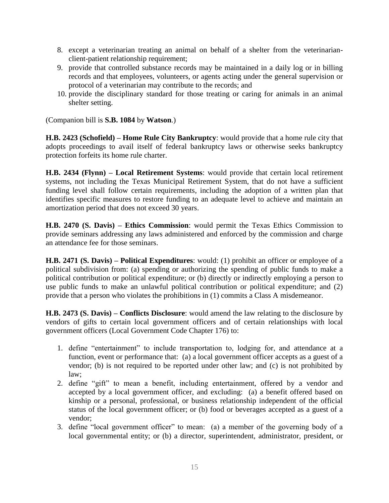- 8. except a veterinarian treating an animal on behalf of a shelter from the veterinarianclient-patient relationship requirement;
- 9. provide that controlled substance records may be maintained in a daily log or in billing records and that employees, volunteers, or agents acting under the general supervision or protocol of a veterinarian may contribute to the records; and
- 10. provide the disciplinary standard for those treating or caring for animals in an animal shelter setting.

(Companion bill is **S.B. 1084** by **Watson**.)

**H.B. 2423 (Schofield) – Home Rule City Bankruptcy**: would provide that a home rule city that adopts proceedings to avail itself of federal bankruptcy laws or otherwise seeks bankruptcy protection forfeits its home rule charter.

**H.B. 2434 (Flynn) – Local Retirement Systems**: would provide that certain local retirement systems, not including the Texas Municipal Retirement System, that do not have a sufficient funding level shall follow certain requirements, including the adoption of a written plan that identifies specific measures to restore funding to an adequate level to achieve and maintain an amortization period that does not exceed 30 years.

**H.B. 2470 (S. Davis) – Ethics Commission**: would permit the Texas Ethics Commission to provide seminars addressing any laws administered and enforced by the commission and charge an attendance fee for those seminars.

**H.B. 2471 (S. Davis) – Political Expenditures**: would: (1) prohibit an officer or employee of a political subdivision from: (a) spending or authorizing the spending of public funds to make a political contribution or political expenditure; or (b) directly or indirectly employing a person to use public funds to make an unlawful political contribution or political expenditure; and (2) provide that a person who violates the prohibitions in (1) commits a Class A misdemeanor.

**H.B. 2473 (S. Davis) – Conflicts Disclosure**: would amend the law relating to the disclosure by vendors of gifts to certain local government officers and of certain relationships with local government officers (Local Government Code Chapter 176) to:

- 1. define "entertainment" to include transportation to, lodging for, and attendance at a function, event or performance that: (a) a local government officer accepts as a guest of a vendor; (b) is not required to be reported under other law; and (c) is not prohibited by law;
- 2. define "gift" to mean a benefit, including entertainment, offered by a vendor and accepted by a local government officer, and excluding: (a) a benefit offered based on kinship or a personal, professional, or business relationship independent of the official status of the local government officer; or (b) food or beverages accepted as a guest of a vendor;
- 3. define "local government officer" to mean: (a) a member of the governing body of a local governmental entity; or (b) a director, superintendent, administrator, president, or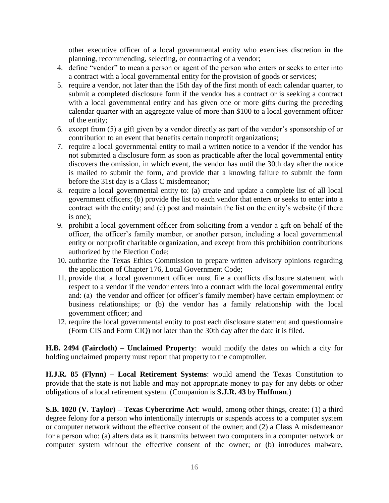other executive officer of a local governmental entity who exercises discretion in the planning, recommending, selecting, or contracting of a vendor;

- 4. define "vendor" to mean a person or agent of the person who enters or seeks to enter into a contract with a local governmental entity for the provision of goods or services;
- 5. require a vendor, not later than the 15th day of the first month of each calendar quarter, to submit a completed disclosure form if the vendor has a contract or is seeking a contract with a local governmental entity and has given one or more gifts during the preceding calendar quarter with an aggregate value of more than \$100 to a local government officer of the entity;
- 6. except from (5) a gift given by a vendor directly as part of the vendor's sponsorship of or contribution to an event that benefits certain nonprofit organizations;
- 7. require a local governmental entity to mail a written notice to a vendor if the vendor has not submitted a disclosure form as soon as practicable after the local governmental entity discovers the omission, in which event, the vendor has until the 30th day after the notice is mailed to submit the form, and provide that a knowing failure to submit the form before the 31st day is a Class C misdemeanor;
- 8. require a local governmental entity to: (a) create and update a complete list of all local government officers; (b) provide the list to each vendor that enters or seeks to enter into a contract with the entity; and (c) post and maintain the list on the entity's website (if there is one);
- 9. prohibit a local government officer from soliciting from a vendor a gift on behalf of the officer, the officer's family member, or another person, including a local governmental entity or nonprofit charitable organization, and except from this prohibition contributions authorized by the Election Code;
- 10. authorize the Texas Ethics Commission to prepare written advisory opinions regarding the application of Chapter 176, Local Government Code;
- 11. provide that a local government officer must file a conflicts disclosure statement with respect to a vendor if the vendor enters into a contract with the local governmental entity and: (a) the vendor and officer (or officer's family member) have certain employment or business relationships; or (b) the vendor has a family relationship with the local government officer; and
- 12. require the local governmental entity to post each disclosure statement and questionnaire (Form CIS and Form CIQ) not later than the 30th day after the date it is filed.

**H.B. 2494 (Faircloth) – Unclaimed Property**: would modify the dates on which a city for holding unclaimed property must report that property to the comptroller.

**H.J.R. 85 (Flynn) – Local Retirement Systems**: would amend the Texas Constitution to provide that the state is not liable and may not appropriate money to pay for any debts or other obligations of a local retirement system. (Companion is **S.J.R. 43** by **Huffman**.)

**S.B. 1020 (V. Taylor) – Texas Cybercrime Act**: would, among other things, create: (1) a third degree felony for a person who intentionally interrupts or suspends access to a computer system or computer network without the effective consent of the owner; and (2) a Class A misdemeanor for a person who: (a) alters data as it transmits between two computers in a computer network or computer system without the effective consent of the owner; or (b) introduces malware,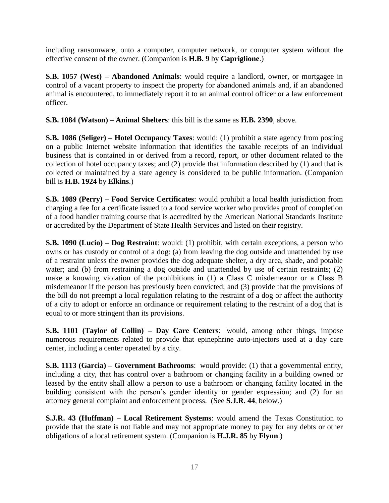including ransomware, onto a computer, computer network, or computer system without the effective consent of the owner. (Companion is **H.B. 9** by **Capriglione**.)

**S.B. 1057 (West) – Abandoned Animals**: would require a landlord, owner, or mortgagee in control of a vacant property to inspect the property for abandoned animals and, if an abandoned animal is encountered, to immediately report it to an animal control officer or a law enforcement officer.

**S.B. 1084 (Watson) – Animal Shelters**: this bill is the same as **H.B. 2390**, above.

**S.B. 1086 (Seliger) – Hotel Occupancy Taxes**: would: (1) prohibit a state agency from posting on a public Internet website information that identifies the taxable receipts of an individual business that is contained in or derived from a record, report, or other document related to the collection of hotel occupancy taxes; and (2) provide that information described by (1) and that is collected or maintained by a state agency is considered to be public information. (Companion bill is **H.B. 1924** by **Elkins**.)

**S.B. 1089 (Perry) – Food Service Certificates**: would prohibit a local health jurisdiction from charging a fee for a certificate issued to a food service worker who provides proof of completion of a food handler training course that is accredited by the American National Standards Institute or accredited by the Department of State Health Services and listed on their registry.

**S.B. 1090 (Lucio) – Dog Restraint**: would: (1) prohibit, with certain exceptions, a person who owns or has custody or control of a dog: (a) from leaving the dog outside and unattended by use of a restraint unless the owner provides the dog adequate shelter, a dry area, shade, and potable water; and (b) from restraining a dog outside and unattended by use of certain restraints; (2) make a knowing violation of the prohibitions in (1) a Class C misdemeanor or a Class B misdemeanor if the person has previously been convicted; and (3) provide that the provisions of the bill do not preempt a local regulation relating to the restraint of a dog or affect the authority of a city to adopt or enforce an ordinance or requirement relating to the restraint of a dog that is equal to or more stringent than its provisions.

**S.B. 1101 (Taylor of Collin) – Day Care Centers**: would, among other things, impose numerous requirements related to provide that epinephrine auto-injectors used at a day care center, including a center operated by a city.

**S.B. 1113 (Garcia) – Government Bathrooms**: would provide: (1) that a governmental entity, including a city, that has control over a bathroom or changing facility in a building owned or leased by the entity shall allow a person to use a bathroom or changing facility located in the building consistent with the person's gender identity or gender expression; and (2) for an attorney general complaint and enforcement process. (See **S.J.R. 44**, below.)

**S.J.R. 43 (Huffman) – Local Retirement Systems**: would amend the Texas Constitution to provide that the state is not liable and may not appropriate money to pay for any debts or other obligations of a local retirement system. (Companion is **H.J.R. 85** by **Flynn**.)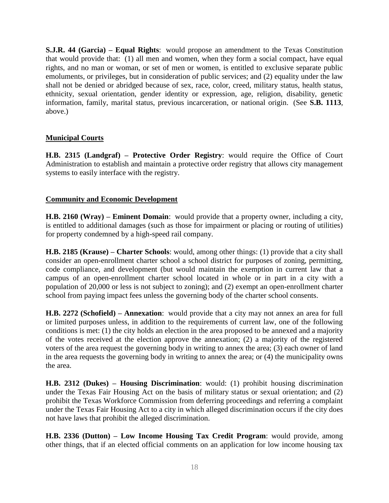**S.J.R. 44 (Garcia) – Equal Rights**: would propose an amendment to the Texas Constitution that would provide that: (1) all men and women, when they form a social compact, have equal rights, and no man or woman, or set of men or women, is entitled to exclusive separate public emoluments, or privileges, but in consideration of public services; and (2) equality under the law shall not be denied or abridged because of sex, race, color, creed, military status, health status, ethnicity, sexual orientation, gender identity or expression, age, religion, disability, genetic information, family, marital status, previous incarceration, or national origin. (See **S.B. 1113**, above.)

#### **Municipal Courts**

**H.B. 2315 (Landgraf) – Protective Order Registry**: would require the Office of Court Administration to establish and maintain a protective order registry that allows city management systems to easily interface with the registry.

#### **Community and Economic Development**

**H.B. 2160 (Wray) – Eminent Domain**: would provide that a property owner, including a city, is entitled to additional damages (such as those for impairment or placing or routing of utilities) for property condemned by a high-speed rail company.

**H.B. 2185 (Krause) – Charter Schools**: would, among other things: (1) provide that a city shall consider an open-enrollment charter school a school district for purposes of zoning, permitting, code compliance, and development (but would maintain the exemption in current law that a campus of an open-enrollment charter school located in whole or in part in a city with a population of 20,000 or less is not subject to zoning); and (2) exempt an open-enrollment charter school from paying impact fees unless the governing body of the charter school consents.

**H.B. 2272 (Schofield) – Annexation**: would provide that a city may not annex an area for full or limited purposes unless, in addition to the requirements of current law, one of the following conditions is met: (1) the city holds an election in the area proposed to be annexed and a majority of the votes received at the election approve the annexation; (2) a majority of the registered voters of the area request the governing body in writing to annex the area; (3) each owner of land in the area requests the governing body in writing to annex the area; or (4) the municipality owns the area.

**H.B. 2312 (Dukes) – Housing Discrimination**: would: (1) prohibit housing discrimination under the Texas Fair Housing Act on the basis of military status or sexual orientation; and (2) prohibit the Texas Workforce Commission from deferring proceedings and referring a complaint under the Texas Fair Housing Act to a city in which alleged discrimination occurs if the city does not have laws that prohibit the alleged discrimination.

**H.B. 2336 (Dutton) – Low Income Housing Tax Credit Program**: would provide, among other things, that if an elected official comments on an application for low income housing tax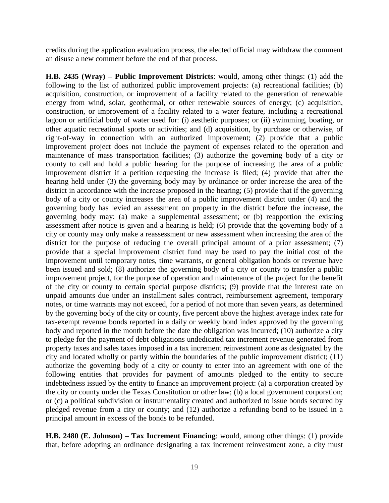credits during the application evaluation process, the elected official may withdraw the comment an disuse a new comment before the end of that process.

**H.B. 2435 (Wray) – Public Improvement Districts**: would, among other things: (1) add the following to the list of authorized public improvement projects: (a) recreational facilities; (b) acquisition, construction, or improvement of a facility related to the generation of renewable energy from wind, solar, geothermal, or other renewable sources of energy; (c) acquisition, construction, or improvement of a facility related to a water feature, including a recreational lagoon or artificial body of water used for: (i) aesthetic purposes; or (ii) swimming, boating, or other aquatic recreational sports or activities; and (d) acquisition, by purchase or otherwise, of right-of-way in connection with an authorized improvement; (2) provide that a public improvement project does not include the payment of expenses related to the operation and maintenance of mass transportation facilities; (3) authorize the governing body of a city or county to call and hold a public hearing for the purpose of increasing the area of a public improvement district if a petition requesting the increase is filed; (4) provide that after the hearing held under (3) the governing body may by ordinance or order increase the area of the district in accordance with the increase proposed in the hearing; (5) provide that if the governing body of a city or county increases the area of a public improvement district under (4) and the governing body has levied an assessment on property in the district before the increase, the governing body may: (a) make a supplemental assessment; or (b) reapportion the existing assessment after notice is given and a hearing is held; (6) provide that the governing body of a city or county may only make a reassessment or new assessment when increasing the area of the district for the purpose of reducing the overall principal amount of a prior assessment; (7) provide that a special improvement district fund may be used to pay the initial cost of the improvement until temporary notes, time warrants, or general obligation bonds or revenue have been issued and sold; (8) authorize the governing body of a city or county to transfer a public improvement project, for the purpose of operation and maintenance of the project for the benefit of the city or county to certain special purpose districts; (9) provide that the interest rate on unpaid amounts due under an installment sales contract, reimbursement agreement, temporary notes, or time warrants may not exceed, for a period of not more than seven years, as determined by the governing body of the city or county, five percent above the highest average index rate for tax-exempt revenue bonds reported in a daily or weekly bond index approved by the governing body and reported in the month before the date the obligation was incurred; (10) authorize a city to pledge for the payment of debt obligations undedicated tax increment revenue generated from property taxes and sales taxes imposed in a tax increment reinvestment zone as designated by the city and located wholly or partly within the boundaries of the public improvement district; (11) authorize the governing body of a city or county to enter into an agreement with one of the following entities that provides for payment of amounts pledged to the entity to secure indebtedness issued by the entity to finance an improvement project: (a) a corporation created by the city or county under the Texas Constitution or other law; (b) a local government corporation; or (c) a political subdivision or instrumentality created and authorized to issue bonds secured by pledged revenue from a city or county; and (12) authorize a refunding bond to be issued in a principal amount in excess of the bonds to be refunded.

**H.B. 2480 (E. Johnson) – Tax Increment Financing**: would, among other things: (1) provide that, before adopting an ordinance designating a tax increment reinvestment zone, a city must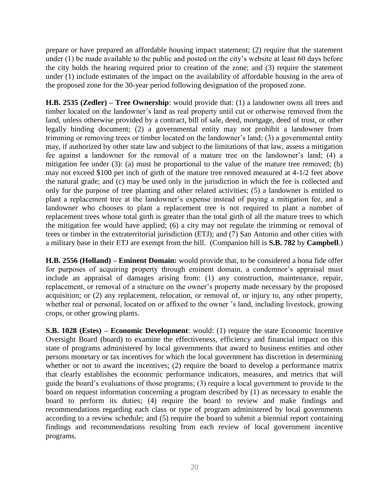prepare or have prepared an affordable housing impact statement; (2) require that the statement under (1) be made available to the public and posted on the city's website at least 60 days before the city holds the hearing required prior to creation of the zone; and (3) require the statement under (1) include estimates of the impact on the availability of affordable housing in the area of the proposed zone for the 30-year period following designation of the proposed zone.

**H.B. 2535 (Zedler) – Tree Ownership**: would provide that: (1) a landowner owns all trees and timber located on the landowner's land as real property until cut or otherwise removed from the land, unless otherwise provided by a contract, bill of sale, deed, mortgage, deed of trust, or other legally binding document; (2) a governmental entity may not prohibit a landowner from trimming or removing trees or timber located on the landowner's land; (3) a governmental entity may, if authorized by other state law and subject to the limitations of that law, assess a mitigation fee against a landowner for the removal of a mature tree on the landowner's land; (4) a mitigation fee under (3): (a) must be proportional to the value of the mature tree removed; (b) may not exceed \$100 per inch of girth of the mature tree removed measured at 4-1/2 feet above the natural grade; and (c) may be used only in the jurisdiction in which the fee is collected and only for the purpose of tree planting and other related activities; (5) a landowner is entitled to plant a replacement tree at the landowner's expense instead of paying a mitigation fee, and a landowner who chooses to plant a replacement tree is not required to plant a number of replacement trees whose total girth is greater than the total girth of all the mature trees to which the mitigation fee would have applied; (6) a city may not regulate the trimming or removal of trees or timber in the extraterritorial jurisdiction (ETJ); and (7) San Antonio and other cities with a military base in their ETJ are exempt from the bill. (Companion bill is **S.B. 782** by **Campbell**.)

**H.B. 2556 (Holland) – Eminent Domain:** would provide that, to be considered a bona fide offer for purposes of acquiring property through eminent domain, a condemnor's appraisal must include an appraisal of damages arising from: (1) any construction, maintenance, repair, replacement, or removal of a structure on the owner's property made necessary by the proposed acquisition; or (2) any replacement, relocation, or removal of, or injury to, any other property, whether real or personal, located on or affixed to the owner 's land, including livestock, growing crops, or other growing plants.

**S.B. 1028 (Estes) – Economic Development**: would: (1) require the state Economic Incentive Oversight Board (board) to examine the effectiveness, efficiency and financial impact on this state of programs administered by local governments that award to business entities and other persons monetary or tax incentives for which the local government has discretion in determining whether or not to award the incentives; (2) require the board to develop a performance matrix that clearly establishes the economic performance indicators, measures, and metrics that will guide the board's evaluations of those programs; (3) require a local government to provide to the board on request information concerning a program described by (1) as necessary to enable the board to perform its duties; (4) require the board to review and make findings and recommendations regarding each class or type of program administered by local governments according to a review schedule; and (5) require the board to submit a biennial report containing findings and recommendations resulting from each review of local government incentive programs.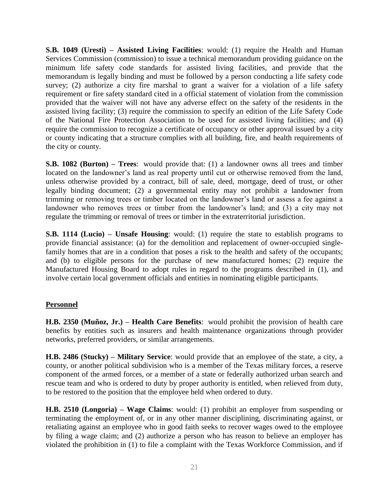**S.B. 1049 (Uresti) – Assisted Living Facilities**: would: (1) require the Health and Human Services Commission (commission) to issue a technical memorandum providing guidance on the minimum life safety code standards for assisted living facilities, and provide that the memorandum is legally binding and must be followed by a person conducting a life safety code survey; (2) authorize a city fire marshal to grant a waiver for a violation of a life safety requirement or fire safety standard cited in a official statement of violation from the commission provided that the waiver will not have any adverse effect on the safety of the residents in the assisted living facility; (3) require the commission to specify an edition of the Life Safety Code of the National Fire Protection Association to be used for assisted living facilities; and (4) require the commission to recognize a certificate of occupancy or other approval issued by a city or county indicating that a structure complies with all building, fire, and health requirements of the city or county.

**S.B. 1082 (Burton) – Trees:** would provide that: (1) a landowner owns all trees and timber located on the landowner's land as real property until cut or otherwise removed from the land, unless otherwise provided by a contract, bill of sale, deed, mortgage, deed of trust, or other legally binding document; (2) a governmental entity may not prohibit a landowner from trimming or removing trees or timber located on the landowner's land or assess a fee against a landowner who removes trees or timber from the landowner's land; and (3) a city may not regulate the trimming or removal of trees or timber in the extraterritorial jurisdiction.

**S.B. 1114 (Lucio) – Unsafe Housing**: would: (1) require the state to establish programs to provide financial assistance: (a) for the demolition and replacement of owner-occupied singlefamily homes that are in a condition that poses a risk to the health and safety of the occupants; and (b) to eligible persons for the purchase of new manufactured homes; (2) require the Manufactured Housing Board to adopt rules in regard to the programs described in (1), and involve certain local government officials and entities in nominating eligible participants.

#### **Personnel**

**H.B. 2350 (Muñoz, Jr.) – Health Care Benefits**: would prohibit the provision of health care benefits by entities such as insurers and health maintenance organizations through provider networks, preferred providers, or similar arrangements.

**H.B. 2486 (Stucky) – Military Service**: would provide that an employee of the state, a city, a county, or another political subdivision who is a member of the Texas military forces, a reserve component of the armed forces, or a member of a state or federally authorized urban search and rescue team and who is ordered to duty by proper authority is entitled, when relieved from duty, to be restored to the position that the employee held when ordered to duty.

**H.B. 2510 (Longoria) – Wage Claims**: would: (1) prohibit an employer from suspending or terminating the employment of, or in any other manner disciplining, discriminating against, or retaliating against an employee who in good faith seeks to recover wages owed to the employee by filing a wage claim; and (2) authorize a person who has reason to believe an employer has violated the prohibition in (1) to file a complaint with the Texas Workforce Commission, and if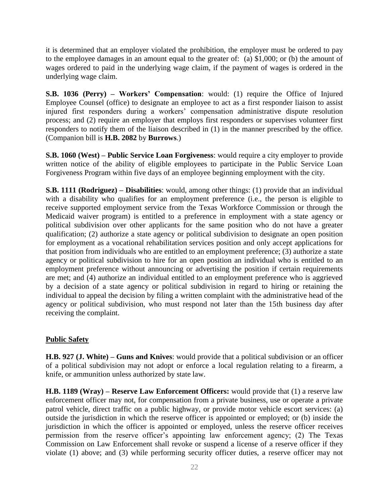it is determined that an employer violated the prohibition, the employer must be ordered to pay to the employee damages in an amount equal to the greater of: (a) \$1,000; or (b) the amount of wages ordered to paid in the underlying wage claim, if the payment of wages is ordered in the underlying wage claim.

**S.B. 1036 (Perry) – Workers' Compensation**: would: (1) require the Office of Injured Employee Counsel (office) to designate an employee to act as a first responder liaison to assist injured first responders during a workers' compensation administrative dispute resolution process; and (2) require an employer that employs first responders or supervises volunteer first responders to notify them of the liaison described in (1) in the manner prescribed by the office. (Companion bill is **H.B. 2082** by **Burrows**.)

**S.B. 1060 (West) – Public Service Loan Forgiveness**: would require a city employer to provide written notice of the ability of eligible employees to participate in the Public Service Loan Forgiveness Program within five days of an employee beginning employment with the city.

**S.B. 1111 (Rodriguez) – Disabilities**: would, among other things: (1) provide that an individual with a disability who qualifies for an employment preference (i.e., the person is eligible to receive supported employment service from the Texas Workforce Commission or through the Medicaid waiver program) is entitled to a preference in employment with a state agency or political subdivision over other applicants for the same position who do not have a greater qualification; (2) authorize a state agency or political subdivision to designate an open position for employment as a vocational rehabilitation services position and only accept applications for that position from individuals who are entitled to an employment preference; (3) authorize a state agency or political subdivision to hire for an open position an individual who is entitled to an employment preference without announcing or advertising the position if certain requirements are met; and (4) authorize an individual entitled to an employment preference who is aggrieved by a decision of a state agency or political subdivision in regard to hiring or retaining the individual to appeal the decision by filing a written complaint with the administrative head of the agency or political subdivision, who must respond not later than the 15th business day after receiving the complaint.

#### **Public Safety**

**H.B. 927 (J. White) – Guns and Knives**: would provide that a political subdivision or an officer of a political subdivision may not adopt or enforce a local regulation relating to a firearm, a knife, or ammunition unless authorized by state law.

**H.B. 1189 (Wray) – Reserve Law Enforcement Officers:** would provide that (1) a reserve law enforcement officer may not, for compensation from a private business, use or operate a private patrol vehicle, direct traffic on a public highway, or provide motor vehicle escort services: (a) outside the jurisdiction in which the reserve officer is appointed or employed; or (b) inside the jurisdiction in which the officer is appointed or employed, unless the reserve officer receives permission from the reserve officer's appointing law enforcement agency; (2) The Texas Commission on Law Enforcement shall revoke or suspend a license of a reserve officer if they violate (1) above; and (3) while performing security officer duties, a reserve officer may not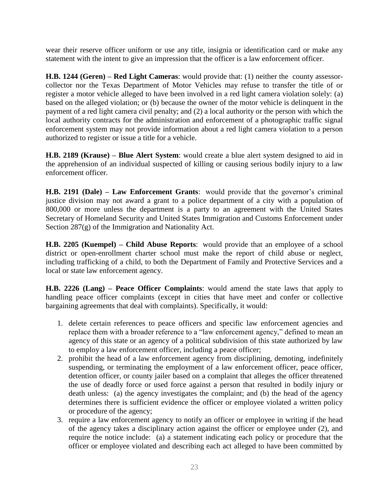wear their reserve officer uniform or use any title, insignia or identification card or make any statement with the intent to give an impression that the officer is a law enforcement officer.

**H.B. 1244 (Geren) – Red Light Cameras**: would provide that: (1) neither the county assessorcollector nor the Texas Department of Motor Vehicles may refuse to transfer the title of or register a motor vehicle alleged to have been involved in a red light camera violation solely: (a) based on the alleged violation; or (b) because the owner of the motor vehicle is delinquent in the payment of a red light camera civil penalty; and (2) a local authority or the person with which the local authority contracts for the administration and enforcement of a photographic traffic signal enforcement system may not provide information about a red light camera violation to a person authorized to register or issue a title for a vehicle.

**H.B. 2189 (Krause) – Blue Alert System**: would create a blue alert system designed to aid in the apprehension of an individual suspected of killing or causing serious bodily injury to a law enforcement officer.

**H.B. 2191 (Dale) – Law Enforcement Grants**: would provide that the governor's criminal justice division may not award a grant to a police department of a city with a population of 800,000 or more unless the department is a party to an agreement with the United States Secretary of Homeland Security and United States Immigration and Customs Enforcement under Section 287(g) of the Immigration and Nationality Act.

**H.B. 2205 (Kuempel) – Child Abuse Reports**: would provide that an employee of a school district or open-enrollment charter school must make the report of child abuse or neglect, including trafficking of a child, to both the Department of Family and Protective Services and a local or state law enforcement agency.

**H.B. 2226 (Lang) – Peace Officer Complaints**: would amend the state laws that apply to handling peace officer complaints (except in cities that have meet and confer or collective bargaining agreements that deal with complaints). Specifically, it would:

- 1. delete certain references to peace officers and specific law enforcement agencies and replace them with a broader reference to a "law enforcement agency," defined to mean an agency of this state or an agency of a political subdivision of this state authorized by law to employ a law enforcement officer, including a peace officer;
- 2. prohibit the head of a law enforcement agency from disciplining, demoting, indefinitely suspending, or terminating the employment of a law enforcement officer, peace officer, detention officer, or county jailer based on a complaint that alleges the officer threatened the use of deadly force or used force against a person that resulted in bodily injury or death unless: (a) the agency investigates the complaint; and (b) the head of the agency determines there is sufficient evidence the officer or employee violated a written policy or procedure of the agency;
- 3. require a law enforcement agency to notify an officer or employee in writing if the head of the agency takes a disciplinary action against the officer or employee under (2), and require the notice include: (a) a statement indicating each policy or procedure that the officer or employee violated and describing each act alleged to have been committed by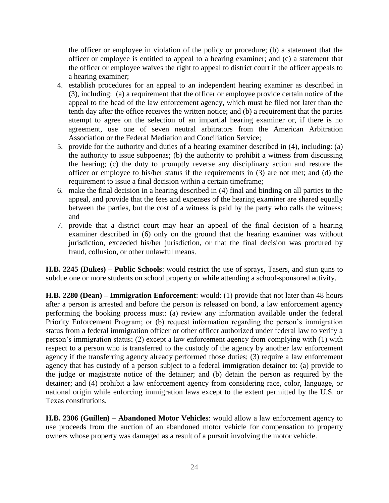the officer or employee in violation of the policy or procedure; (b) a statement that the officer or employee is entitled to appeal to a hearing examiner; and (c) a statement that the officer or employee waives the right to appeal to district court if the officer appeals to a hearing examiner;

- 4. establish procedures for an appeal to an independent hearing examiner as described in (3), including: (a) a requirement that the officer or employee provide certain notice of the appeal to the head of the law enforcement agency, which must be filed not later than the tenth day after the office receives the written notice; and (b) a requirement that the parties attempt to agree on the selection of an impartial hearing examiner or, if there is no agreement, use one of seven neutral arbitrators from the American Arbitration Association or the Federal Mediation and Conciliation Service;
- 5. provide for the authority and duties of a hearing examiner described in (4), including: (a) the authority to issue subpoenas; (b) the authority to prohibit a witness from discussing the hearing; (c) the duty to promptly reverse any disciplinary action and restore the officer or employee to his/her status if the requirements in (3) are not met; and (d) the requirement to issue a final decision within a certain timeframe;
- 6. make the final decision in a hearing described in (4) final and binding on all parties to the appeal, and provide that the fees and expenses of the hearing examiner are shared equally between the parties, but the cost of a witness is paid by the party who calls the witness; and
- 7. provide that a district court may hear an appeal of the final decision of a hearing examiner described in (6) only on the ground that the hearing examiner was without jurisdiction, exceeded his/her jurisdiction, or that the final decision was procured by fraud, collusion, or other unlawful means.

**H.B. 2245 (Dukes) – Public Schools**: would restrict the use of sprays, Tasers, and stun guns to subdue one or more students on school property or while attending a school-sponsored activity.

**H.B. 2280 (Dean) – Immigration Enforcement**: would: (1) provide that not later than 48 hours after a person is arrested and before the person is released on bond, a law enforcement agency performing the booking process must: (a) review any information available under the federal Priority Enforcement Program; or (b) request information regarding the person's immigration status from a federal immigration officer or other officer authorized under federal law to verify a person's immigration status; (2) except a law enforcement agency from complying with (1) with respect to a person who is transferred to the custody of the agency by another law enforcement agency if the transferring agency already performed those duties; (3) require a law enforcement agency that has custody of a person subject to a federal immigration detainer to: (a) provide to the judge or magistrate notice of the detainer; and (b) detain the person as required by the detainer; and (4) prohibit a law enforcement agency from considering race, color, language, or national origin while enforcing immigration laws except to the extent permitted by the U.S. or Texas constitutions.

**H.B. 2306 (Guillen) – Abandoned Motor Vehicles**: would allow a law enforcement agency to use proceeds from the auction of an abandoned motor vehicle for compensation to property owners whose property was damaged as a result of a pursuit involving the motor vehicle.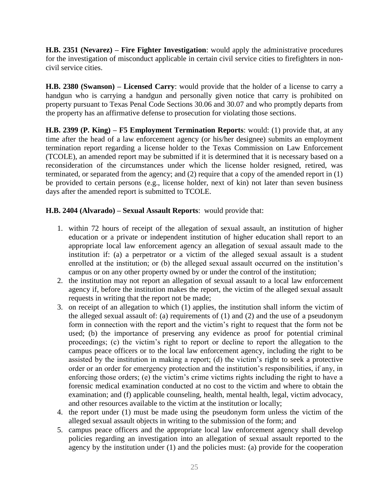**H.B. 2351 (Nevarez) – Fire Fighter Investigation**: would apply the administrative procedures for the investigation of misconduct applicable in certain civil service cities to firefighters in noncivil service cities.

**H.B. 2380 (Swanson) – Licensed Carry**: would provide that the holder of a license to carry a handgun who is carrying a handgun and personally given notice that carry is prohibited on property pursuant to Texas Penal Code Sections 30.06 and 30.07 and who promptly departs from the property has an affirmative defense to prosecution for violating those sections.

**H.B. 2399 (P. King) – F5 Employment Termination Reports**: would: (1) provide that, at any time after the head of a law enforcement agency (or his/her designee) submits an employment termination report regarding a license holder to the Texas Commission on Law Enforcement (TCOLE), an amended report may be submitted if it is determined that it is necessary based on a reconsideration of the circumstances under which the license holder resigned, retired, was terminated, or separated from the agency; and (2) require that a copy of the amended report in (1) be provided to certain persons (e.g., license holder, next of kin) not later than seven business days after the amended report is submitted to TCOLE.

#### **H.B. 2404 (Alvarado) – Sexual Assault Reports**: would provide that:

- 1. within 72 hours of receipt of the allegation of sexual assault, an institution of higher education or a private or independent institution of higher education shall report to an appropriate local law enforcement agency an allegation of sexual assault made to the institution if: (a) a perpetrator or a victim of the alleged sexual assault is a student enrolled at the institution; or (b) the alleged sexual assault occurred on the institution's campus or on any other property owned by or under the control of the institution;
- 2. the institution may not report an allegation of sexual assault to a local law enforcement agency if, before the institution makes the report, the victim of the alleged sexual assault requests in writing that the report not be made;
- 3. on receipt of an allegation to which (1) applies, the institution shall inform the victim of the alleged sexual assault of: (a) requirements of (1) and (2) and the use of a pseudonym form in connection with the report and the victim's right to request that the form not be used; (b) the importance of preserving any evidence as proof for potential criminal proceedings; (c) the victim's right to report or decline to report the allegation to the campus peace officers or to the local law enforcement agency, including the right to be assisted by the institution in making a report; (d) the victim's right to seek a protective order or an order for emergency protection and the institution's responsibilities, if any, in enforcing those orders; (e) the victim's crime victims rights including the right to have a forensic medical examination conducted at no cost to the victim and where to obtain the examination; and (f) applicable counseling, health, mental health, legal, victim advocacy, and other resources available to the victim at the institution or locally;
- 4. the report under (1) must be made using the pseudonym form unless the victim of the alleged sexual assault objects in writing to the submission of the form; and
- 5. campus peace officers and the appropriate local law enforcement agency shall develop policies regarding an investigation into an allegation of sexual assault reported to the agency by the institution under (1) and the policies must: (a) provide for the cooperation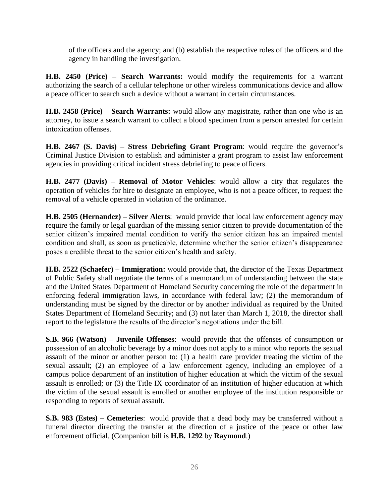of the officers and the agency; and (b) establish the respective roles of the officers and the agency in handling the investigation.

**H.B. 2450 (Price) – Search Warrants:** would modify the requirements for a warrant authorizing the search of a cellular telephone or other wireless communications device and allow a peace officer to search such a device without a warrant in certain circumstances.

**H.B. 2458 (Price) – Search Warrants:** would allow any magistrate, rather than one who is an attorney, to issue a search warrant to collect a blood specimen from a person arrested for certain intoxication offenses.

**H.B. 2467 (S. Davis) – Stress Debriefing Grant Program**: would require the governor's Criminal Justice Division to establish and administer a grant program to assist law enforcement agencies in providing critical incident stress debriefing to peace officers.

**H.B. 2477 (Davis) – Removal of Motor Vehicles**: would allow a city that regulates the operation of vehicles for hire to designate an employee, who is not a peace officer, to request the removal of a vehicle operated in violation of the ordinance.

**H.B. 2505 (Hernandez) – Silver Alerts**: would provide that local law enforcement agency may require the family or legal guardian of the missing senior citizen to provide documentation of the senior citizen's impaired mental condition to verify the senior citizen has an impaired mental condition and shall, as soon as practicable, determine whether the senior citizen's disappearance poses a credible threat to the senior citizen's health and safety.

**H.B. 2522 (Schaefer) – Immigration:** would provide that, the director of the Texas Department of Public Safety shall negotiate the terms of a memorandum of understanding between the state and the United States Department of Homeland Security concerning the role of the department in enforcing federal immigration laws, in accordance with federal law; (2) the memorandum of understanding must be signed by the director or by another individual as required by the United States Department of Homeland Security; and (3) not later than March 1, 2018, the director shall report to the legislature the results of the director's negotiations under the bill.

**S.B. 966 (Watson) – Juvenile Offenses**: would provide that the offenses of consumption or possession of an alcoholic beverage by a minor does not apply to a minor who reports the sexual assault of the minor or another person to: (1) a health care provider treating the victim of the sexual assault; (2) an employee of a law enforcement agency, including an employee of a campus police department of an institution of higher education at which the victim of the sexual assault is enrolled; or (3) the Title IX coordinator of an institution of higher education at which the victim of the sexual assault is enrolled or another employee of the institution responsible or responding to reports of sexual assault.

**S.B. 983 (Estes) – Cemeteries**: would provide that a dead body may be transferred without a funeral director directing the transfer at the direction of a justice of the peace or other law enforcement official. (Companion bill is **H.B. 1292** by **Raymond**.)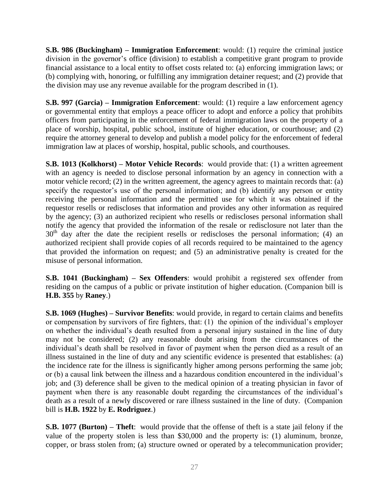**S.B. 986 (Buckingham) – Immigration Enforcement**: would: (1) require the criminal justice division in the governor's office (division) to establish a competitive grant program to provide financial assistance to a local entity to offset costs related to: (a) enforcing immigration laws; or (b) complying with, honoring, or fulfilling any immigration detainer request; and (2) provide that the division may use any revenue available for the program described in (1).

**S.B. 997 (Garcia) – Immigration Enforcement**: would: (1) require a law enforcement agency or governmental entity that employs a peace officer to adopt and enforce a policy that prohibits officers from participating in the enforcement of federal immigration laws on the property of a place of worship, hospital, public school, institute of higher education, or courthouse; and (2) require the attorney general to develop and publish a model policy for the enforcement of federal immigration law at places of worship, hospital, public schools, and courthouses.

**S.B. 1013 (Kolkhorst) – Motor Vehicle Records**: would provide that: (1) a written agreement with an agency is needed to disclose personal information by an agency in connection with a motor vehicle record; (2) in the written agreement, the agency agrees to maintain records that: (a) specify the requestor's use of the personal information; and (b) identify any person or entity receiving the personal information and the permitted use for which it was obtained if the requestor resells or rediscloses that information and provides any other information as required by the agency; (3) an authorized recipient who resells or rediscloses personal information shall notify the agency that provided the information of the resale or redisclosure not later than the  $30<sup>th</sup>$  day after the date the recipient resells or rediscloses the personal information; (4) an authorized recipient shall provide copies of all records required to be maintained to the agency that provided the information on request; and (5) an administrative penalty is created for the misuse of personal information.

**S.B. 1041 (Buckingham) – Sex Offenders**: would prohibit a registered sex offender from residing on the campus of a public or private institution of higher education. (Companion bill is **H.B. 355** by **Raney**.)

**S.B. 1069 (Hughes) – Survivor Benefits**: would provide, in regard to certain claims and benefits or compensation by survivors of fire fighters, that: (1) the opinion of the individual's employer on whether the individual's death resulted from a personal injury sustained in the line of duty may not be considered; (2) any reasonable doubt arising from the circumstances of the individual's death shall be resolved in favor of payment when the person died as a result of an illness sustained in the line of duty and any scientific evidence is presented that establishes: (a) the incidence rate for the illness is significantly higher among persons performing the same job; or (b) a causal link between the illness and a hazardous condition encountered in the individual's job; and (3) deference shall be given to the medical opinion of a treating physician in favor of payment when there is any reasonable doubt regarding the circumstances of the individual's death as a result of a newly discovered or rare illness sustained in the line of duty. (Companion bill is **H.B. 1922** by **E. Rodriguez**.)

**S.B. 1077 (Burton) – Theft**: would provide that the offense of theft is a state jail felony if the value of the property stolen is less than \$30,000 and the property is: (1) aluminum, bronze, copper, or brass stolen from; (a) structure owned or operated by a telecommunication provider;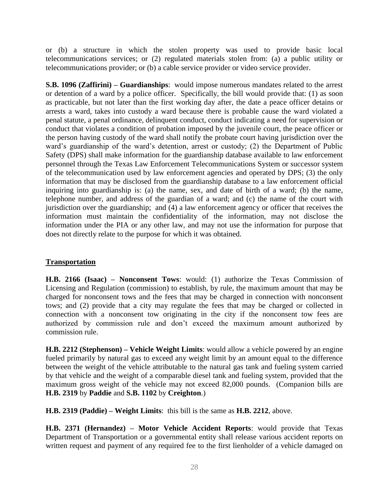or (b) a structure in which the stolen property was used to provide basic local telecommunications services; or (2) regulated materials stolen from: (a) a public utility or telecommunications provider; or (b) a cable service provider or video service provider.

**S.B. 1096 (Zaffirini) – Guardianships**: would impose numerous mandates related to the arrest or detention of a ward by a police officer. Specifically, the bill would provide that: (1) as soon as practicable, but not later than the first working day after, the date a peace officer detains or arrests a ward, takes into custody a ward because there is probable cause the ward violated a penal statute, a penal ordinance, delinquent conduct, conduct indicating a need for supervision or conduct that violates a condition of probation imposed by the juvenile court, the peace officer or the person having custody of the ward shall notify the probate court having jurisdiction over the ward's guardianship of the ward's detention, arrest or custody; (2) the Department of Public Safety (DPS) shall make information for the guardianship database available to law enforcement personnel through the Texas Law Enforcement Telecommunications System or successor system of the telecommunication used by law enforcement agencies and operated by DPS; (3) the only information that may be disclosed from the guardianship database to a law enforcement official inquiring into guardianship is: (a) the name, sex, and date of birth of a ward; (b) the name, telephone number, and address of the guardian of a ward; and (c) the name of the court with jurisdiction over the guardianship; and (4) a law enforcement agency or officer that receives the information must maintain the confidentiality of the information, may not disclose the information under the PIA or any other law, and may not use the information for purpose that does not directly relate to the purpose for which it was obtained.

## **Transportation**

**H.B. 2166 (Isaac) – Nonconsent Tows**: would: (1) authorize the Texas Commission of Licensing and Regulation (commission) to establish, by rule, the maximum amount that may be charged for nonconsent tows and the fees that may be charged in connection with nonconsent tows; and (2) provide that a city may regulate the fees that may be charged or collected in connection with a nonconsent tow originating in the city if the nonconsent tow fees are authorized by commission rule and don't exceed the maximum amount authorized by commission rule.

**H.B. 2212 (Stephenson) – Vehicle Weight Limits**: would allow a vehicle powered by an engine fueled primarily by natural gas to exceed any weight limit by an amount equal to the difference between the weight of the vehicle attributable to the natural gas tank and fueling system carried by that vehicle and the weight of a comparable diesel tank and fueling system, provided that the maximum gross weight of the vehicle may not exceed 82,000 pounds. (Companion bills are **H.B. 2319** by **Paddie** and **S.B. 1102** by **Creighton**.)

**H.B. 2319 (Paddie) – Weight Limits**: this bill is the same as **H.B. 2212**, above.

**H.B. 2371 (Hernandez) – Motor Vehicle Accident Reports**: would provide that Texas Department of Transportation or a governmental entity shall release various accident reports on written request and payment of any required fee to the first lienholder of a vehicle damaged on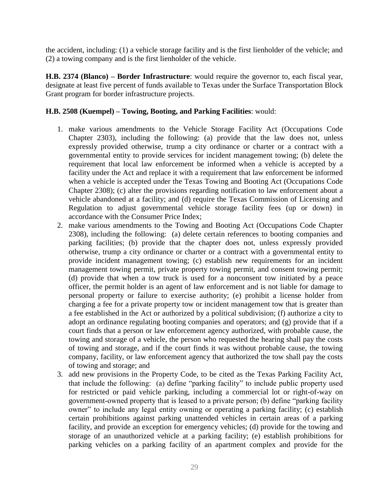the accident, including: (1) a vehicle storage facility and is the first lienholder of the vehicle; and (2) a towing company and is the first lienholder of the vehicle.

**H.B. 2374 (Blanco) – Border Infrastructure**: would require the governor to, each fiscal year, designate at least five percent of funds available to Texas under the Surface Transportation Block Grant program for border infrastructure projects.

#### **H.B. 2508 (Kuempel) – Towing, Booting, and Parking Facilities**: would:

- 1. make various amendments to the Vehicle Storage Facility Act (Occupations Code Chapter 2303), including the following: (a) provide that the law does not, unless expressly provided otherwise, trump a city ordinance or charter or a contract with a governmental entity to provide services for incident management towing; (b) delete the requirement that local law enforcement be informed when a vehicle is accepted by a facility under the Act and replace it with a requirement that law enforcement be informed when a vehicle is accepted under the Texas Towing and Booting Act (Occupations Code Chapter 2308); (c) alter the provisions regarding notification to law enforcement about a vehicle abandoned at a facility; and (d) require the Texas Commission of Licensing and Regulation to adjust governmental vehicle storage facility fees (up or down) in accordance with the Consumer Price Index;
- 2. make various amendments to the Towing and Booting Act (Occupations Code Chapter 2308), including the following: (a) delete certain references to booting companies and parking facilities; (b) provide that the chapter does not, unless expressly provided otherwise, trump a city ordinance or charter or a contract with a governmental entity to provide incident management towing; (c) establish new requirements for an incident management towing permit, private property towing permit, and consent towing permit; (d) provide that when a tow truck is used for a nonconsent tow initiated by a peace officer, the permit holder is an agent of law enforcement and is not liable for damage to personal property or failure to exercise authority; (e) prohibit a license holder from charging a fee for a private property tow or incident management tow that is greater than a fee established in the Act or authorized by a political subdivision; (f) authorize a city to adopt an ordinance regulating booting companies and operators; and (g) provide that if a court finds that a person or law enforcement agency authorized, with probable cause, the towing and storage of a vehicle, the person who requested the hearing shall pay the costs of towing and storage, and if the court finds it was without probable cause, the towing company, facility, or law enforcement agency that authorized the tow shall pay the costs of towing and storage; and
- 3. add new provisions in the Property Code, to be cited as the Texas Parking Facility Act, that include the following: (a) define "parking facility" to include public property used for restricted or paid vehicle parking, including a commercial lot or right-of-way on government-owned property that is leased to a private person; (b) define "parking facility owner" to include any legal entity owning or operating a parking facility; (c) establish certain prohibitions against parking unattended vehicles in certain areas of a parking facility, and provide an exception for emergency vehicles; (d) provide for the towing and storage of an unauthorized vehicle at a parking facility; (e) establish prohibitions for parking vehicles on a parking facility of an apartment complex and provide for the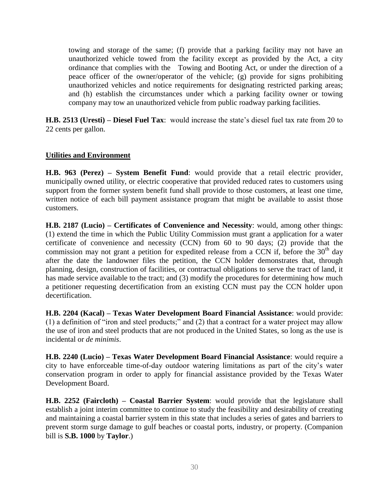towing and storage of the same; (f) provide that a parking facility may not have an unauthorized vehicle towed from the facility except as provided by the Act, a city ordinance that complies with the Towing and Booting Act, or under the direction of a peace officer of the owner/operator of the vehicle; (g) provide for signs prohibiting unauthorized vehicles and notice requirements for designating restricted parking areas; and (h) establish the circumstances under which a parking facility owner or towing company may tow an unauthorized vehicle from public roadway parking facilities.

**H.B. 2513 (Uresti) – Diesel Fuel Tax**: would increase the state's diesel fuel tax rate from 20 to 22 cents per gallon.

#### **Utilities and Environment**

**H.B. 963 (Perez) – System Benefit Fund**: would provide that a retail electric provider, municipally owned utility, or electric cooperative that provided reduced rates to customers using support from the former system benefit fund shall provide to those customers, at least one time, written notice of each bill payment assistance program that might be available to assist those customers.

**H.B. 2187 (Lucio) – Certificates of Convenience and Necessity**: would, among other things: (1) extend the time in which the Public Utility Commission must grant a application for a water certificate of convenience and necessity (CCN) from 60 to 90 days; (2) provide that the commission may not grant a petition for expedited release from a CCN if, before the  $30<sup>th</sup>$  day after the date the landowner files the petition, the CCN holder demonstrates that, through planning, design, construction of facilities, or contractual obligations to serve the tract of land, it has made service available to the tract; and (3) modify the procedures for determining how much a petitioner requesting decertification from an existing CCN must pay the CCN holder upon decertification.

**H.B. 2204 (Kacal) – Texas Water Development Board Financial Assistance**: would provide: (1) a definition of "iron and steel products;" and (2) that a contract for a water project may allow the use of iron and steel products that are not produced in the United States, so long as the use is incidental or *de minimis*.

**H.B. 2240 (Lucio) – Texas Water Development Board Financial Assistance**: would require a city to have enforceable time-of-day outdoor watering limitations as part of the city's water conservation program in order to apply for financial assistance provided by the Texas Water Development Board.

**H.B. 2252 (Faircloth) – Coastal Barrier System**: would provide that the legislature shall establish a joint interim committee to continue to study the feasibility and desirability of creating and maintaining a coastal barrier system in this state that includes a series of gates and barriers to prevent storm surge damage to gulf beaches or coastal ports, industry, or property. (Companion bill is **S.B. 1000** by **Taylor**.)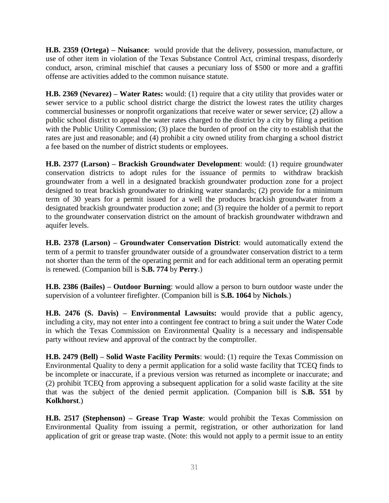**H.B. 2359 (Ortega) – Nuisance**: would provide that the delivery, possession, manufacture, or use of other item in violation of the Texas Substance Control Act, criminal trespass, disorderly conduct, arson, criminal mischief that causes a pecuniary loss of \$500 or more and a graffiti offense are activities added to the common nuisance statute.

**H.B. 2369 (Nevarez) – Water Rates:** would: (1) require that a city utility that provides water or sewer service to a public school district charge the district the lowest rates the utility charges commercial businesses or nonprofit organizations that receive water or sewer service; (2) allow a public school district to appeal the water rates charged to the district by a city by filing a petition with the Public Utility Commission; (3) place the burden of proof on the city to establish that the rates are just and reasonable; and (4) prohibit a city owned utility from charging a school district a fee based on the number of district students or employees.

**H.B. 2377 (Larson) – Brackish Groundwater Development**: would: (1) require groundwater conservation districts to adopt rules for the issuance of permits to withdraw brackish groundwater from a well in a designated brackish groundwater production zone for a project designed to treat brackish groundwater to drinking water standards; (2) provide for a minimum term of 30 years for a permit issued for a well the produces brackish groundwater from a designated brackish groundwater production zone; and (3) require the holder of a permit to report to the groundwater conservation district on the amount of brackish groundwater withdrawn and aquifer levels.

**H.B. 2378 (Larson) – Groundwater Conservation District**: would automatically extend the term of a permit to transfer groundwater outside of a groundwater conservation district to a term not shorter than the term of the operating permit and for each additional term an operating permit is renewed. (Companion bill is **S.B. 774** by **Perry**.)

**H.B. 2386 (Bailes) – Outdoor Burning**: would allow a person to burn outdoor waste under the supervision of a volunteer firefighter. (Companion bill is **S.B. 1064** by **Nichols**.)

**H.B. 2476 (S. Davis) – Environmental Lawsuits:** would provide that a public agency, including a city, may not enter into a contingent fee contract to bring a suit under the Water Code in which the Texas Commission on Environmental Quality is a necessary and indispensable party without review and approval of the contract by the comptroller.

**H.B. 2479 (Bell) – Solid Waste Facility Permits**: would: (1) require the Texas Commission on Environmental Quality to deny a permit application for a solid waste facility that TCEQ finds to be incomplete or inaccurate, if a previous version was returned as incomplete or inaccurate; and (2) prohibit TCEQ from approving a subsequent application for a solid waste facility at the site that was the subject of the denied permit application. (Companion bill is **S.B. 551** by **Kolkhorst**.)

**H.B. 2517 (Stephenson) – Grease Trap Waste**: would prohibit the Texas Commission on Environmental Quality from issuing a permit, registration, or other authorization for land application of grit or grease trap waste. (Note: this would not apply to a permit issue to an entity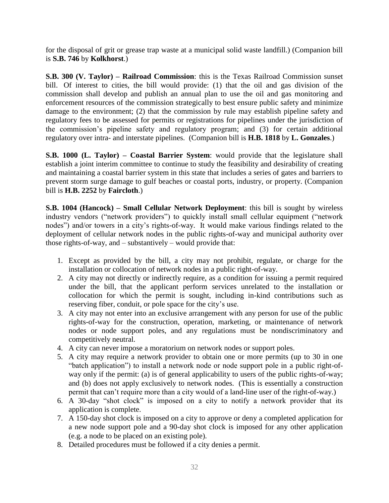for the disposal of grit or grease trap waste at a municipal solid waste landfill.) (Companion bill is **S.B. 746** by **Kolkhorst**.)

**S.B. 300 (V. Taylor) – Railroad Commission**: this is the Texas Railroad Commission sunset bill. Of interest to cities, the bill would provide: (1) that the oil and gas division of the commission shall develop and publish an annual plan to use the oil and gas monitoring and enforcement resources of the commission strategically to best ensure public safety and minimize damage to the environment; (2) that the commission by rule may establish pipeline safety and regulatory fees to be assessed for permits or registrations for pipelines under the jurisdiction of the commission's pipeline safety and regulatory program; and (3) for certain additional regulatory over intra- and interstate pipelines. (Companion bill is **H.B. 1818** by **L. Gonzales**.)

**S.B. 1000 (L. Taylor) – Coastal Barrier System**: would provide that the legislature shall establish a joint interim committee to continue to study the feasibility and desirability of creating and maintaining a coastal barrier system in this state that includes a series of gates and barriers to prevent storm surge damage to gulf beaches or coastal ports, industry, or property. (Companion bill is **H.B. 2252** by **Faircloth**.)

**S.B. 1004 (Hancock) – Small Cellular Network Deployment**: this bill is sought by wireless industry vendors ("network providers") to quickly install small cellular equipment ("network nodes") and/or towers in a city's rights-of-way. It would make various findings related to the deployment of cellular network nodes in the public rights-of-way and municipal authority over those rights-of-way, and – substantively – would provide that:

- 1. Except as provided by the bill, a city may not prohibit, regulate, or charge for the installation or collocation of network nodes in a public right-of-way.
- 2. A city may not directly or indirectly require, as a condition for issuing a permit required under the bill, that the applicant perform services unrelated to the installation or collocation for which the permit is sought, including in-kind contributions such as reserving fiber, conduit, or pole space for the city's use.
- 3. A city may not enter into an exclusive arrangement with any person for use of the public rights-of-way for the construction, operation, marketing, or maintenance of network nodes or node support poles, and any regulations must be nondiscriminatory and competitively neutral.
- 4. A city can never impose a moratorium on network nodes or support poles.
- 5. A city may require a network provider to obtain one or more permits (up to 30 in one "batch application") to install a network node or node support pole in a public right-ofway only if the permit: (a) is of general applicability to users of the public rights-of-way; and (b) does not apply exclusively to network nodes. (This is essentially a construction permit that can't require more than a city would of a land-line user of the right-of-way.)
- 6. A 30-day "shot clock" is imposed on a city to notify a network provider that its application is complete.
- 7. A 150-day shot clock is imposed on a city to approve or deny a completed application for a new node support pole and a 90-day shot clock is imposed for any other application (e.g. a node to be placed on an existing pole).
- 8. Detailed procedures must be followed if a city denies a permit.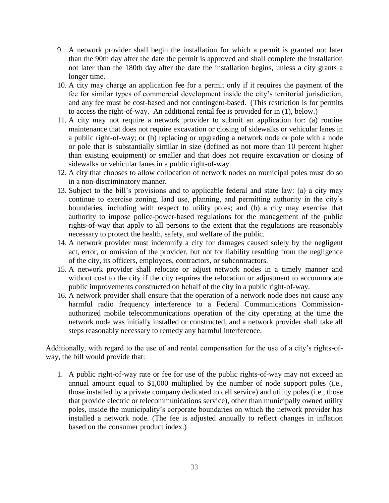- 9. A network provider shall begin the installation for which a permit is granted not later than the 90th day after the date the permit is approved and shall complete the installation not later than the 180th day after the date the installation begins, unless a city grants a longer time.
- 10. A city may charge an application fee for a permit only if it requires the payment of the fee for similar types of commercial development inside the city's territorial jurisdiction, and any fee must be cost-based and not contingent-based. (This restriction is for permits to access the right-of-way. An additional rental fee is provided for in (1), below.)
- 11. A city may not require a network provider to submit an application for: (a) routine maintenance that does not require excavation or closing of sidewalks or vehicular lanes in a public right-of-way; or (b) replacing or upgrading a network node or pole with a node or pole that is substantially similar in size (defined as not more than 10 percent higher than existing equipment) or smaller and that does not require excavation or closing of sidewalks or vehicular lanes in a public right-of-way.
- 12. A city that chooses to allow collocation of network nodes on municipal poles must do so in a non-discriminatory manner.
- 13. Subject to the bill's provisions and to applicable federal and state law: (a) a city may continue to exercise zoning, land use, planning, and permitting authority in the city's boundaries, including with respect to utility poles; and (b) a city may exercise that authority to impose police-power-based regulations for the management of the public rights-of-way that apply to all persons to the extent that the regulations are reasonably necessary to protect the health, safety, and welfare of the public.
- 14. A network provider must indemnify a city for damages caused solely by the negligent act, error, or omission of the provider, but not for liability resulting from the negligence of the city, its officers, employees, contractors, or subcontractors.
- 15. A network provider shall relocate or adjust network nodes in a timely manner and without cost to the city if the city requires the relocation or adjustment to accommodate public improvements constructed on behalf of the city in a public right-of-way.
- 16. A network provider shall ensure that the operation of a network node does not cause any harmful radio frequency interference to a Federal Communications Commissionauthorized mobile telecommunications operation of the city operating at the time the network node was initially installed or constructed, and a network provider shall take all steps reasonably necessary to remedy any harmful interference.

Additionally, with regard to the use of and rental compensation for the use of a city's rights-ofway, the bill would provide that:

1. A public right-of-way rate or fee for use of the public rights-of-way may not exceed an annual amount equal to \$1,000 multiplied by the number of node support poles (i.e., those installed by a private company dedicated to cell service) and utility poles (i.e., those that provide electric or telecommunications service), other than municipally owned utility poles, inside the municipality's corporate boundaries on which the network provider has installed a network node. (The fee is adjusted annually to reflect changes in inflation based on the consumer product index.)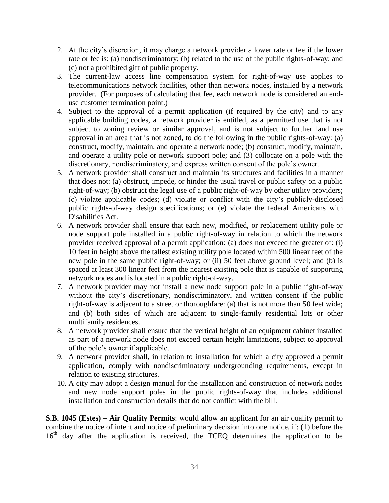- 2. At the city's discretion, it may charge a network provider a lower rate or fee if the lower rate or fee is: (a) nondiscriminatory; (b) related to the use of the public rights-of-way; and (c) not a prohibited gift of public property.
- 3. The current-law access line compensation system for right-of-way use applies to telecommunications network facilities, other than network nodes, installed by a network provider. (For purposes of calculating that fee, each network node is considered an enduse customer termination point.)
- 4. Subject to the approval of a permit application (if required by the city) and to any applicable building codes, a network provider is entitled, as a permitted use that is not subject to zoning review or similar approval, and is not subject to further land use approval in an area that is not zoned, to do the following in the public rights-of-way: (a) construct, modify, maintain, and operate a network node; (b) construct, modify, maintain, and operate a utility pole or network support pole; and (3) collocate on a pole with the discretionary, nondiscriminatory, and express written consent of the pole's owner.
- 5. A network provider shall construct and maintain its structures and facilities in a manner that does not: (a) obstruct, impede, or hinder the usual travel or public safety on a public right-of-way; (b) obstruct the legal use of a public right-of-way by other utility providers; (c) violate applicable codes; (d) violate or conflict with the city's publicly-disclosed public rights-of-way design specifications; or (e) violate the federal Americans with Disabilities Act.
- 6. A network provider shall ensure that each new, modified, or replacement utility pole or node support pole installed in a public right-of-way in relation to which the network provider received approval of a permit application: (a) does not exceed the greater of: (i) 10 feet in height above the tallest existing utility pole located within 500 linear feet of the new pole in the same public right-of-way; or (ii) 50 feet above ground level; and (b) is spaced at least 300 linear feet from the nearest existing pole that is capable of supporting network nodes and is located in a public right-of-way.
- 7. A network provider may not install a new node support pole in a public right-of-way without the city's discretionary, nondiscriminatory, and written consent if the public right-of-way is adjacent to a street or thoroughfare: (a) that is not more than 50 feet wide; and (b) both sides of which are adjacent to single-family residential lots or other multifamily residences.
- 8. A network provider shall ensure that the vertical height of an equipment cabinet installed as part of a network node does not exceed certain height limitations, subject to approval of the pole's owner if applicable.
- 9. A network provider shall, in relation to installation for which a city approved a permit application, comply with nondiscriminatory undergrounding requirements, except in relation to existing structures.
- 10. A city may adopt a design manual for the installation and construction of network nodes and new node support poles in the public rights-of-way that includes additional installation and construction details that do not conflict with the bill.

**S.B. 1045 (Estes) – Air Quality Permits**: would allow an applicant for an air quality permit to combine the notice of intent and notice of preliminary decision into one notice, if: (1) before the 16<sup>th</sup> day after the application is received, the TCEQ determines the application to be